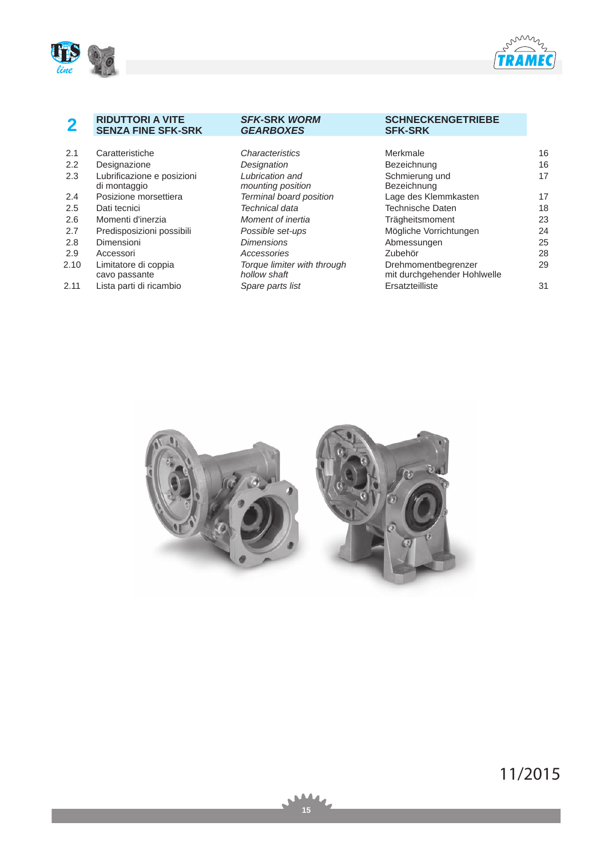



# **2 RIDUTTORI A VITE SENZA FINE SFK-SRK**

## *SFK***-SRK** *WORM GEARBOXES*

# **SCHNECKENGETRIEBE SFK-SRK**

| 2.1  | Caratteristiche                            | <i><b>Characteristics</b></i>               | Merkmale                                           | 16 |
|------|--------------------------------------------|---------------------------------------------|----------------------------------------------------|----|
|      |                                            |                                             |                                                    |    |
| 2.2  | Designazione                               | Designation                                 | Bezeichnung                                        | 16 |
| 2.3  | Lubrificazione e posizioni<br>di montaggio | Lubrication and<br>mounting position        | Schmierung und<br>Bezeichnung                      | 17 |
| 2.4  | Posizione morsettiera                      | Terminal board position                     | Lage des Klemmkasten                               | 17 |
| 2.5  | Dati tecnici                               | Technical data                              | <b>Technische Daten</b>                            | 18 |
| 2.6  | Momenti d'inerzia                          | Moment of inertia                           | Trägheitsmoment                                    | 23 |
| 2.7  | Predisposizioni possibili                  | Possible set-ups                            | Mögliche Vorrichtungen                             | 24 |
| 2.8  | Dimensioni                                 | <b>Dimensions</b>                           | Abmessungen                                        | 25 |
| 2.9  | Accessori                                  | Accessories                                 | Zubehör                                            | 28 |
| 2.10 | Limitatore di coppia<br>cavo passante      | Torque limiter with through<br>hollow shaft | Drehmomentbegrenzer<br>mit durchgehender Hohlwelle | 29 |
| 2.11 | Lista parti di ricambio                    | Spare parts list                            | Ersatzteilliste                                    | 31 |

|--|--|

**15** 

11/2015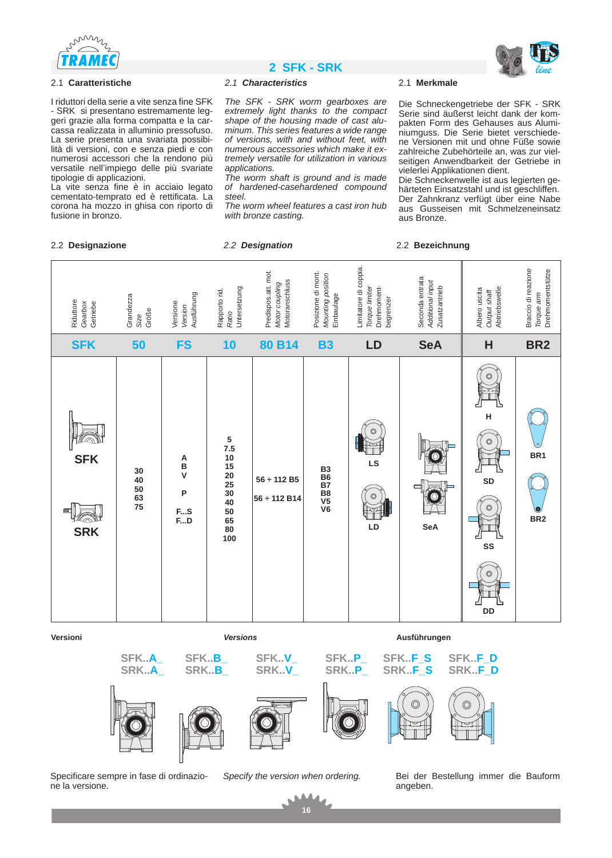

### 2.1 **Caratteristiche**

I riduttori della serie a vite senza fine SFK - SRK si presentano estremamente leggeri grazie alla forma compatta e la carcassa realizzata in alluminio pressofuso. La serie presenta una svariata possibilità di versioni, con e senza piedi e con numerosi accessori che la rendono più versatile nell'impiego delle più svariate tipologie di applicazioni.

La vite senza fine è in acciaio legato cementato-temprato ed è rettificata. La corona ha mozzo in ghisa con riporto di fusione in bronzo.

# **2 SFK - SRK** *line*

### *2.1 Characteristics*

*The SFK - SRK worm gearboxes are extremely light thanks to the compact shape of the housing made of cast aluminum. This series features a wide range of versions, with and without feet, with numerous accessories which make it extremely versatile for utilization in various applications.* 

*The worm shaft is ground and is made of hardened-casehardened compound steel.*

*The worm wheel features a cast iron hub with bronze casting.* 

### 2.1 **Merkmale**

Die Schneckengetriebe der SFK - SRK Serie sind äußerst leicht dank der kompakten Form des Gehauses aus Aluminiumguss. Die Serie bietet verschiedene Versionen mit und ohne Füße sowie zahlreiche Zubehörteile an, was zur vielseitigen Anwendbarkeit der Getriebe in vielerlei Applikationen dient.

Die Schneckenwelle ist aus legierten gehärteten Einsatzstahl und ist geschliffen. Der Zahnkranz verfügt über eine Nabe aus Gusseisen mit Schmelzeneinsatz aus Bronze.





**SFK..A\_ SRK..A\_**





**SFK..P\_ SRK..P\_** **SFK..F\_S SRK..F\_S**





ne la versione.







**16**

△



Bei der Bestellung immer die Bauform angeben. Specificare sempre in fase di ordinazio- *Specify the version when ordering.*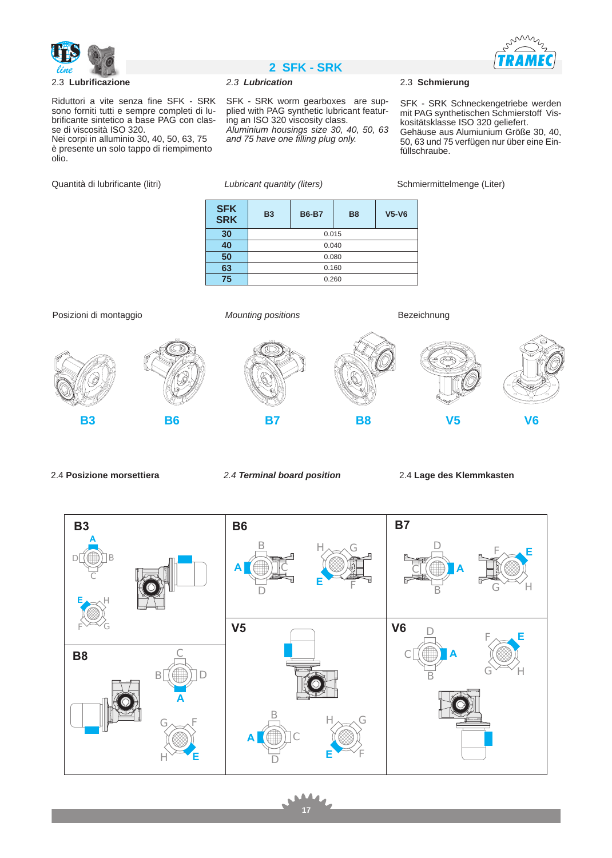



Riduttori a vite senza fine SFK - SRK sono forniti tutti e sempre completi di lubrificante sintetico a base PAG con classe di viscosità ISO 320.

Nei corpi in alluminio 30, 40, 50, 63, 75 è presente un solo tappo di riempimento olio.

Quantità di lubrificante (litri) *Lubricant quantity (liters)* Schmiermittelmenge (Liter)

# *line* **2 SFK - SRK**

## *2.3 Lubrication*

SFK - SRK worm gearboxes are supplied with PAG synthetic lubricant featuring an ISO 320 viscosity class. *Aluminium housings size 30, 40, 50, 63 and 75 have one filling plug only.*

2.3 **Schmierung**

SFK - SRK Schneckengetriebe werden mit PAG synthetischen Schmierstoff Viskositätsklasse ISO 320 geliefert. Gehäuse aus Alumiunium Größe 30, 40, 50, 63 und 75 verfügen nur über eine Einfüllschraube.

| <b>SFK</b><br><b>SRK</b> | <b>B3</b> | <b>B6-B7</b> | <b>B8</b> | $V5-V6$ |  |  |  |  |  |  |
|--------------------------|-----------|--------------|-----------|---------|--|--|--|--|--|--|
| 30                       |           | 0.015        |           |         |  |  |  |  |  |  |
| 40                       |           |              | 0.040     |         |  |  |  |  |  |  |
| 50                       |           |              | 0.080     |         |  |  |  |  |  |  |
| 63                       |           | 0.160        |           |         |  |  |  |  |  |  |
| 75                       | 0.260     |              |           |         |  |  |  |  |  |  |

Posizioni di montaggio **Mounting positions** Bezeichnung **B3 B6 B7 B8 V5 V6**

2.4 **Posizione morsettiera** *2.4 Terminal board position* 2.4 **Lage des Klemmkasten**



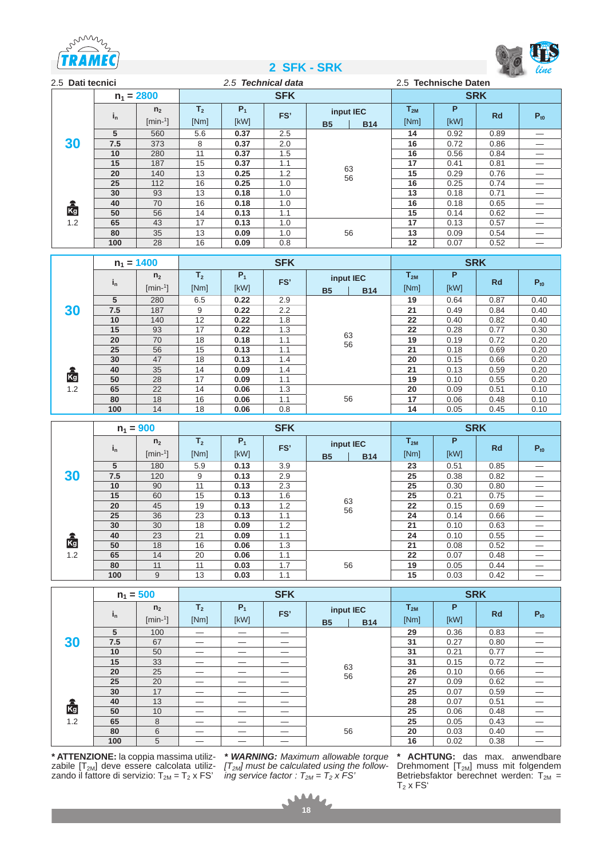





| 2.5 Dati tecnici |         |                |                | 2.5 Technical data |            |           |            | 2.5 Technische Daten |            |           |          |  |
|------------------|---------|----------------|----------------|--------------------|------------|-----------|------------|----------------------|------------|-----------|----------|--|
|                  |         | $n_1 = 2800$   |                |                    | <b>SFK</b> |           |            |                      | <b>SRK</b> |           |          |  |
|                  | $i_{n}$ | n <sub>2</sub> | T <sub>2</sub> | $P_1$              | FS'        | input IEC |            | $T_{2M}$             | P          | <b>Rd</b> | $P_{t0}$ |  |
|                  |         | $[min-1]$      | [Nm]           | [kW]               |            | <b>B5</b> | <b>B14</b> | [Nm]                 | [kW]       |           |          |  |
|                  | 5       | 560            | 5.6            | 0.37               | 2.5        |           |            | 14                   | 0.92       | 0.89      |          |  |
| 30               | 7.5     | 373            | 8              | 0.37               | 2.0        |           |            | 16                   | 0.72       | 0.86      |          |  |
|                  | 10      | 280            | 11             | 0.37               | 1.5        |           |            | 16                   | 0.56       | 0.84      |          |  |
|                  | 15      | 187            | 15             | 0.37               | 1.1        |           |            | 17                   | 0.41       | 0.81      |          |  |
|                  | 20      | 140            | 13             | 0.25               | 1.2        | 63<br>56  | 15         | 0.29                 | 0.76       |           |          |  |
|                  | 25      | 112            | 16             | 0.25               | 1.0        |           |            | 16                   | 0.25       | 0.74      |          |  |
|                  | 30      | 93             | 13             | 0.18               | 1.0        |           |            | 13                   | 0.18       | 0.71      |          |  |
|                  | 40      | 70             | 16             | 0.18               | 1.0        |           |            | 16                   | 0.18       | 0.65      |          |  |
| <b>Rg</b><br>1.2 | 50      | 56             | 14             | 0.13               | 1.1        |           |            | 15                   | 0.14       | 0.62      |          |  |
|                  | 65      | 43             | 17             | 0.13               | 1.0        |           |            | 17                   | 0.13       | 0.57      |          |  |
|                  | 80      | 35             | 13             | 0.09               | 1.0        |           | 56         | 13                   | 0.09       | 0.54      |          |  |
|                  | 100     | 28             | 16             | 0.09               | 0.8        |           |            |                      | 0.07       | 0.52      |          |  |

|     |         | $n_1 = 1400$                |                        |               | <b>SFK</b> |                        |            |                  |           | <b>SRK</b> |          |
|-----|---------|-----------------------------|------------------------|---------------|------------|------------------------|------------|------------------|-----------|------------|----------|
|     | $i_{n}$ | n <sub>2</sub><br>$[min-1]$ | T <sub>2</sub><br>[Nm] | $P_1$<br>[kW] | FS'        | input IEC<br><b>B5</b> | <b>B14</b> | $T_{2M}$<br>[Nm] | P<br>[kW] | <b>Rd</b>  | $P_{t0}$ |
|     | 5       | 280                         | 6.5                    | 0.22          | 2.9        |                        |            | 19               | 0.64      | 0.87       | 0.40     |
| 30  | 7.5     | 187                         | 9                      | 0.22          | 2.2        |                        |            | 21               | 0.49      | 0.84       | 0.40     |
|     | 10      | 140                         | 12                     | 1.8<br>0.22   |            |                        | 22         | 0.40             | 0.82      | 0.40       |          |
|     | 15      | 93                          | 17                     | 0.22          | 1.3        |                        |            | 22               | 0.28      | 0.77       | 0.30     |
|     | 20      | 70                          | 18                     | 0.18          | 1.1        | 63<br>56               |            | 19               | 0.19      | 0.72       | 0.20     |
|     | 25      | 56                          | 15                     | 0.13          | 1.1        |                        |            | 21               | 0.18      | 0.69       | 0.20     |
|     | 30      | 47                          | 18                     | 0.13          | 1.4        |                        |            | 20               | 0.15      | 0.66       | 0.20     |
|     | 40      | 35                          | 14                     | 0.09          | 1.4        |                        |            | 21               | 0.13      | 0.59       | 0.20     |
| Kg  | 50      | 28                          | 17                     | 0.09          | 1.1        | 56                     |            | 19               | 0.10      | 0.55       | 0.20     |
| 1.2 | 65      | 22                          | 14                     | 0.06          | 1.3        |                        |            | 20               | 0.09      | 0.51       | 0.10     |
|     | 80      | 18                          | 16                     | 0.06          | 1.1        |                        |            | 17               | 0.06      | 0.48       | 0.10     |
|     | 100     | 14                          | 18                     | 0.06          | 0.8        |                        |            | 14               | 0.05      | 0.45       | 0.10     |

|     |         | $n_1 = 900$                 |                        |               | <b>SFK</b> |                        |            | <b>SRK</b>       |           |           |          |  |  |
|-----|---------|-----------------------------|------------------------|---------------|------------|------------------------|------------|------------------|-----------|-----------|----------|--|--|
|     | $i_{n}$ | n <sub>2</sub><br>$[min-1]$ | T <sub>2</sub><br>[Nm] | $P_1$<br>[kW] | FS'        | input IEC<br><b>B5</b> | <b>B14</b> | $T_{2M}$<br>[Nm] | P<br>[kW] | <b>Rd</b> | $P_{t0}$ |  |  |
|     | 5       | 180                         | 5.9                    | 0.13          | 3.9        |                        |            | 23               | 0.51      | 0.85      |          |  |  |
| 30  | 7.5     | 120                         | 9                      | 0.13          | 2.9        |                        |            | 25               | 0.38      | 0.82      |          |  |  |
|     | 10      | 90                          | 11                     | 0.13          | 2.3        |                        |            | 25               | 0.30      | 0.80      |          |  |  |
|     | 15      | 60                          | 15                     | 0.13          | 1.6        |                        | 63         |                  | 0.21      | 0.75      |          |  |  |
|     | 20      | 45                          | 19                     | 0.13          | 1.2        | 56                     |            | 22               | 0.15      | 0.69      |          |  |  |
|     | 25      | 36                          | 23                     | 0.13          | 1.1        |                        |            | 24               | 0.14      | 0.66      |          |  |  |
|     | 30      | 30                          | 18                     | 0.09          | 1.2        |                        |            | 21               | 0.10      | 0.63      |          |  |  |
|     | 40      | 23                          | 21                     | 0.09          | 1.1        |                        |            | 24               | 0.10      | 0.55      |          |  |  |
| kg  | 50      | 18                          | 16                     | 0.06          | 1.3        |                        |            | 21               | 0.08      | 0.52      |          |  |  |
| 1.2 | 65      | 14                          | 20                     | 0.06          | 1.1        |                        |            | 22               | 0.07      | 0.48      |          |  |  |
|     | 80      | 11                          | 11                     | 0.03          | 1.7        |                        | 56         | 19               | 0.05      | 0.44      |          |  |  |
|     | 100     | 9<br>13<br>0.03             |                        | 1.1           |            |                        | 15         | 0.03             | 0.42      |           |          |  |  |

|     |                         | $n_1 = 500$                 |                        |               | <b>SFK</b> |                                      | <b>SRK</b>       |           |           |          |  |  |
|-----|-------------------------|-----------------------------|------------------------|---------------|------------|--------------------------------------|------------------|-----------|-----------|----------|--|--|
|     | $\mathbf{i}_\mathsf{n}$ | n <sub>2</sub><br>$[min-1]$ | T <sub>2</sub><br>[Nm] | $P_1$<br>[kW] | FS'        | input IEC<br><b>B5</b><br><b>B14</b> | $T_{2M}$<br>[Nm] | P<br>[kW] | <b>Rd</b> | $P_{t0}$ |  |  |
|     | 5                       | 100                         |                        |               |            |                                      | 29               | 0.36      | 0.83      |          |  |  |
| 30  | 7.5                     | 67                          |                        |               |            |                                      | 31               | 0.27      | 0.80      |          |  |  |
|     | 10                      | 50                          |                        |               |            |                                      | 31               | 0.21      | 0.77      |          |  |  |
|     | 15                      | 33                          |                        |               | 63         |                                      | 31               | 0.15      | 0.72      |          |  |  |
|     | 20                      | 25                          |                        |               |            | 56                                   |                  | 0.10      | 0.66      |          |  |  |
|     | 25                      | 20                          |                        |               |            |                                      | 27               | 0.09      | 0.62      |          |  |  |
|     | 30                      | 17                          |                        |               |            |                                      | 25               | 0.07      | 0.59      |          |  |  |
|     | 40                      | 13                          |                        |               |            |                                      | 28               | 0.07      | 0.51      |          |  |  |
| Kg  | 50                      | 10                          |                        |               |            |                                      | 25               | 0.06      | 0.48      |          |  |  |
| 1.2 | 65                      | 8                           |                        |               |            |                                      | 25               | 0.05      | 0.43      |          |  |  |
|     | 80                      | 6                           |                        |               |            | 56                                   | 20               | 0.03      | 0.40      |          |  |  |
|     | 100                     | 5                           |                        |               |            |                                      | 16               | 0.02      | 0.38      |          |  |  |

**\* ATTENZIONE:** la coppia massima utilizzabile  $[T_{2M}]$  deve essere calcolata utilizzando il fattore di servizio: T $_{2M}$  = T $_{2}$  x FS'

*\* WARNING: Maximum allowable torque [T2M] must be calculated using the following service factor :*  $T_{2M} = T_2 x FS$ 

**\* ACHTUNG:** das max. anwendbare Drehmoment  $[T<sub>2M</sub>]$  muss mit folgendem Betriebsfaktor berechnet werden:  $T_{2M}$  =  $T_2$  x FS<sup> $\circ$ </sup>

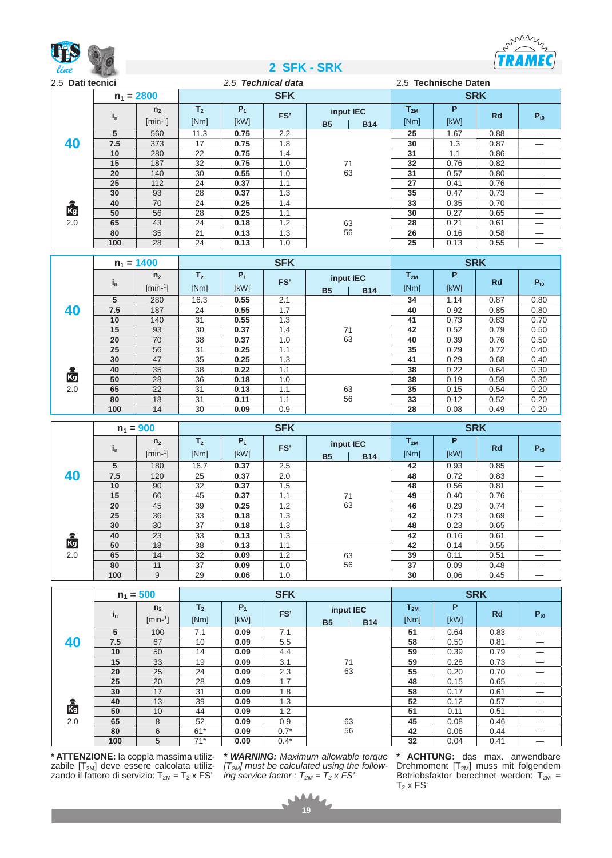



| 2.5 Dati tecnici |         |                          |                | 2.5 Technical data |            |           |            |            | 2.5 Technische Daten |           |          |  |  |
|------------------|---------|--------------------------|----------------|--------------------|------------|-----------|------------|------------|----------------------|-----------|----------|--|--|
|                  |         | $n_1 = 2800$             |                |                    | <b>SFK</b> |           |            | <b>SRK</b> |                      |           |          |  |  |
|                  | $i_{n}$ | n <sub>2</sub>           | T <sub>2</sub> | $P_1$              | FS'        |           | input IEC  | $T_{2M}$   | P                    | <b>Rd</b> | $P_{t0}$ |  |  |
|                  |         | $[min-1]$                | [Nm]           | [kW]               |            | <b>B5</b> | <b>B14</b> | [Nm]       | [kW]                 |           |          |  |  |
|                  | 5       | 560                      | 11.3           | 0.75               | 2.2        |           |            |            | 1.67                 | 0.88      |          |  |  |
| 40               | 7.5     | 373                      | 17             | 1.8<br>0.75        |            | 30        | 1.3        | 0.87       |                      |           |          |  |  |
|                  | 10      | 22<br>0.75<br>280<br>1.4 |                |                    | 31         | 1.1       | 0.86       |            |                      |           |          |  |  |
|                  | 15      | 187                      | 32             | 0.75               | 1.0        | 71        | 32         | 0.76       | 0.82                 |           |          |  |  |
|                  | 20      | 140                      | 30             | 0.55               | 1.0        | 63        |            | 31         | 0.57                 | 0.80      |          |  |  |
|                  | 25      | 112                      | 24             | 0.37               | 1.1        |           |            | 27         | 0.41                 | 0.76      |          |  |  |
|                  | 30      | 93                       | 28             | 0.37               | 1.3        |           |            | 35         | 0.47                 | 0.73      |          |  |  |
|                  | 40      | 70                       | 24             | 0.25               | 1.4        |           |            | 33         | 0.35                 | 0.70      |          |  |  |
| 鹵                | 50      | 56                       | 28             | 0.25               | 1.1        |           |            | 30         | 0.27                 | 0.65      |          |  |  |
| 2.0              | 65      | 43                       | 24             | 0.18               | 1.2        | 63        |            | 28         | 0.21                 | 0.61      |          |  |  |
|                  | 80      | 35                       | 21             | 0.13               | 1.3        | 56        |            | 26         | 0.16                 | 0.58      |          |  |  |
|                  | 100     | 28                       | 24             | 0.13               | 1.0        |           |            | 25         | 0.13                 | 0.55      |          |  |  |

|     |         | $n_1 = 1400$                |                        |               | <b>SFK</b> |                        |            |                  | <b>SRK</b> |           |          |
|-----|---------|-----------------------------|------------------------|---------------|------------|------------------------|------------|------------------|------------|-----------|----------|
|     | $i_{n}$ | n <sub>2</sub><br>$[min-1]$ | T <sub>2</sub><br>[Nm] | $P_1$<br>[kW] | FS'        | input IEC<br><b>B5</b> | <b>B14</b> | $T_{2M}$<br>[Nm] | P<br>[KW]  | <b>Rd</b> | $P_{t0}$ |
|     | 5       | 280                         | 16.3                   | 0.55          | 2.1        |                        |            | 34               | 1.14       | 0.87      | 0.80     |
| 40  | 7.5     | 187                         | 24                     | 0.55          | 1.7        |                        |            | 40               | 0.92       | 0.85      | 0.80     |
|     | 10      | 140                         | 31                     | 0.55          | 1.3        |                        |            | 41               | 0.73       | 0.83      | 0.70     |
|     | 15      | 93                          | 30                     | 0.37          | 1.4        | 71                     |            | 42               | 0.52       | 0.79      | 0.50     |
|     | 20      | 70                          | 38                     | 0.37          | 1.0        | 63                     |            | 40               | 0.39       | 0.76      | 0.50     |
|     | 25      | 56                          | 31                     | 0.25          | 1.1        |                        |            | 35               | 0.29       | 0.72      | 0.40     |
|     | 30      | 47                          | 35                     | 0.25          | 1.3        |                        |            | 41               | 0.29       | 0.68      | 0.40     |
|     | 40      | 35                          | 38                     | 0.22          | 1.1        |                        |            | 38               | 0.22       | 0.64      | 0.30     |
| Kg  | 50      | 28                          | 36                     | 0.18          | 1.0        |                        |            | 38               | 0.19       | 0.59      | 0.30     |
| 2.0 | 65      | 22                          | 31                     | 0.13          | 1.1        | 63                     |            | 35               | 0.15       | 0.54      | 0.20     |
|     | 80      | 18                          | 31                     | 0.11          | 1.1        | 56                     |            | 33               | 0.12       | 0.52      | 0.20     |
|     | 100     | 14                          | 30                     | 0.09          | 0.9        |                        |            | 28               | 0.08       | 0.49      | 0.20     |

|           |         | $n_1 = 900$                 |                        |               | <b>SFK</b> |                        |            | <b>SRK</b>       |           |           |          |  |  |
|-----------|---------|-----------------------------|------------------------|---------------|------------|------------------------|------------|------------------|-----------|-----------|----------|--|--|
|           | $i_{n}$ | n <sub>2</sub><br>$[min-1]$ | T <sub>2</sub><br>[Nm] | $P_1$<br>[kW] | FS'        | input IEC<br><b>B5</b> | <b>B14</b> | $T_{2M}$<br>[Nm] | P<br>[kW] | <b>Rd</b> | $P_{t0}$ |  |  |
|           | 5       | 180                         | 16.7                   | 0.37          | 2.5        |                        |            | 42               | 0.93      | 0.85      |          |  |  |
| 40        | 7.5     | 120                         | 25                     | 0.37          | 2.0        |                        |            | 48               | 0.72      | 0.83      |          |  |  |
|           | 10      | 90                          | 32                     | 0.37          | 1.5        |                        |            | 48               | 0.56      | 0.81      |          |  |  |
|           | 15      | 60                          | 45                     | 0.37          | 1.1        | 71                     |            | 49               | 0.40      | 0.76      |          |  |  |
|           | 20      | 45                          | 39                     | 0.25          | 1.2        | 63                     |            | 46               | 0.29      | 0.74      |          |  |  |
|           | 25      | 36                          | 33                     | 0.18          | 1.3        |                        |            | 42               | 0.23      | 0.69      |          |  |  |
|           | 30      | 30                          | 37                     | 0.18          | 1.3        |                        |            | 48               | 0.23      | 0.65      |          |  |  |
| <b>Rg</b> | 40      | 23                          | 33                     | 0.13          | 1.3        |                        |            | 42               | 0.16      | 0.61      |          |  |  |
|           | 50      | 18                          | 38                     | 0.13          | 1.1        |                        |            | 42               | 0.14      | 0.55      |          |  |  |
| 2.0       | 65      | 14                          | 32                     | 0.09          | 1.2        | 63                     |            | 39               | 0.11      | 0.51      |          |  |  |
|           | 80      | 11                          | 37                     | 0.09          | 1.0        | 56                     |            | 37               | 0.09      | 0.48      |          |  |  |
|           | 100     | 9                           | 29                     | 0.06          | 1.0        |                        |            | 30               | 0.06      | 0.45      |          |  |  |

|                 | $n_1 = 500$ |                             |                        |               | <b>SFK</b> |                        |            | <b>SRK</b>       |           |           |          |  |
|-----------------|-------------|-----------------------------|------------------------|---------------|------------|------------------------|------------|------------------|-----------|-----------|----------|--|
|                 | $i_{n}$     | n <sub>2</sub><br>$[min-1]$ | T <sub>2</sub><br>[Nm] | $P_1$<br>[kW] | FS'        | input IEC<br><b>B5</b> | <b>B14</b> | $T_{2M}$<br>[Nm] | P<br>[kW] | <b>Rd</b> | $P_{t0}$ |  |
|                 | 5           | 100                         | 7.1                    | 0.09          | 7.1        |                        |            | 51               | 0.64      | 0.83      |          |  |
| 40              | 7.5         | 67                          | 10                     | 0.09          | 5.5        |                        |            | 58               | 0.50      | 0.81      |          |  |
|                 | 10          | 50                          | 14                     | 0.09          | 4.4        |                        |            | 59               | 0.39      | 0.79      |          |  |
|                 | 15          | 33                          | 19                     | 0.09          | 3.1        | 71                     |            | 59               | 0.28      | 0.73      |          |  |
|                 | 20          | 25                          | 24                     | 0.09          | 2.3        | 63                     |            | 55               | 0.20      | 0.70      |          |  |
|                 | 25          | 20                          | 28                     | 0.09          | 1.7        |                        |            | 48               | 0.15      | 0.65      |          |  |
|                 | 30          | 17                          | 31                     | 0.09          | 1.8        |                        |            | 58               | 0.17      | 0.61      |          |  |
| $\frac{2}{K_0}$ | 40          | 13                          | 39                     | 0.09          | 1.3        |                        |            | 52               | 0.12      | 0.57      |          |  |
|                 | 50          | 10                          | 44                     | 0.09          | 1.2        |                        |            | 51               | 0.11      | 0.51      |          |  |
| 2.0             | 65          | 8                           | 52                     | 0.09          | 0.9        | 63                     |            | 45               | 0.08      | 0.46      |          |  |
|                 | 80          | 6                           | $61*$                  | 0.09          | $0.7*$     | 56                     |            | 42               | 0.06      | 0.44      |          |  |
|                 | 100         | 5                           | $71*$                  | 0.09          | $0.4*$     |                        |            | 32               | 0.04      | 0.41      |          |  |

**\* ATTENZIONE:** la coppia massima utilizzabile  $[T_{2M}]$  deve essere calcolata utilizzando il fattore di servizio: T<sub>2M</sub> = T<sub>2</sub> x FS'

*\* WARNING: Maximum allowable torque [T2M] must be calculated using the following service factor :*  $T_{2M} = T_2 x FS$ 

**\* ACHTUNG:** das max. anwendbare Drehmoment  $[T<sub>2M</sub>]$  muss mit folgendem Betriebsfaktor berechnet werden:  $T_{2M}$  =  $T_2$  x FS'

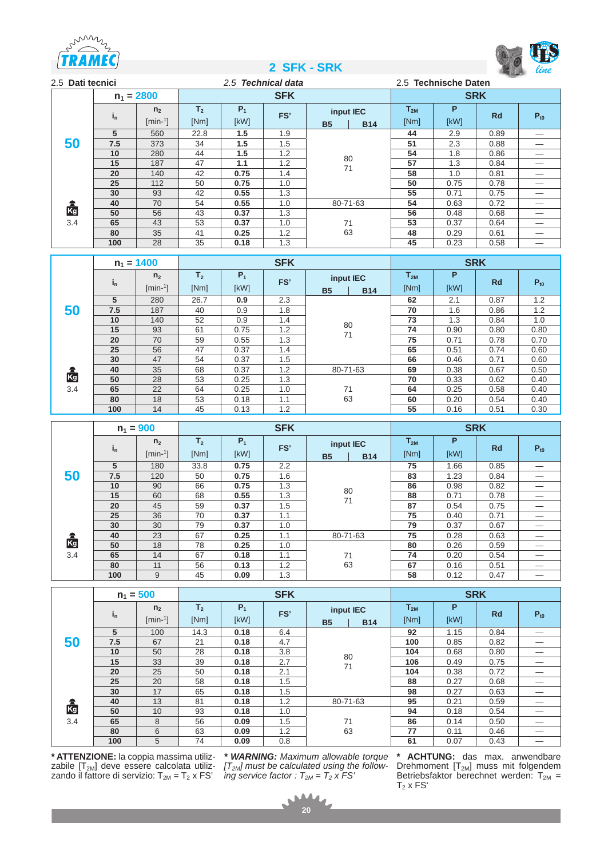





| 2.5 Dati tecnici |                         |                         |                | 2.5 Technical data |            |           |            |          | 2.5 Technische Daten |           |          |  |  |
|------------------|-------------------------|-------------------------|----------------|--------------------|------------|-----------|------------|----------|----------------------|-----------|----------|--|--|
|                  |                         | $n_1 = 2800$            |                |                    | <b>SFK</b> |           |            |          | <b>SRK</b>           |           |          |  |  |
|                  | $\mathbf{i}_\mathsf{n}$ | n <sub>2</sub>          | T <sub>2</sub> | $P_1$              | FS'        |           | input IEC  | $T_{2M}$ | P                    | <b>Rd</b> | $P_{t0}$ |  |  |
|                  |                         | $[min-1]$               | [Nm]           | [kW]               |            | <b>B5</b> | <b>B14</b> | [Nm]     | [kW]                 |           |          |  |  |
|                  | 5                       | 560                     | 22.8           | 1.5                | 1.9        |           |            | 44       | 2.9                  | 0.89      |          |  |  |
| 50               | 7.5                     | 373                     | 34             | 1.5                | 1.5        |           |            | 51       | 2.3                  | 0.88      |          |  |  |
|                  | 10                      | 280                     | 44             | 1.5<br>1.2<br>80   |            | 54        | 1.8        | 0.86     |                      |           |          |  |  |
|                  | 15                      | 187                     | 47             | 1.1                | 1.2        | 71        |            | 57       | 1.3                  | 0.84      |          |  |  |
|                  | 20                      | 140                     | 42             | 0.75               | 1.4        |           | 58         | 1.0      | 0.81                 |           |          |  |  |
|                  | 25                      | 112                     | 50             | 0.75               | 1.0        |           |            | 50       | 0.75                 | 0.78      |          |  |  |
|                  | 30                      | 93                      | 42             | 0.55               | 1.3        |           |            | 55       | 0.71                 | 0.75      |          |  |  |
|                  | 40                      | 70                      | 54             | 0.55               | 1.0        |           | 80-71-63   | 54       | 0.63                 | 0.72      |          |  |  |
| 鹵                | 50                      | 56                      | 43             | 0.37               | 1.3        | 71        |            | 56       | 0.48                 | 0.68      |          |  |  |
| 3.4              | 65                      | 43                      | 53             | 0.37               | 1.0        |           |            | 53       | 0.37                 | 0.64      |          |  |  |
|                  | 80                      | 35                      | 41             | 0.25               | 1.2        | 63        |            | 48       | 0.29                 | 0.61      |          |  |  |
|                  | 100                     | 28<br>35<br>0.18<br>1.3 |                |                    |            | 45        | 0.23       | 0.58     |                      |           |          |  |  |

|     |         | $n_1 = 1400$                | <b>SFK</b>             |               |     |                        |            | <b>SRK</b>       |           |           |          |
|-----|---------|-----------------------------|------------------------|---------------|-----|------------------------|------------|------------------|-----------|-----------|----------|
|     | $i_{n}$ | n <sub>2</sub><br>$[min-1]$ | T <sub>2</sub><br>[Nm] | $P_1$<br>[kW] | FS' | input IEC<br><b>B5</b> | <b>B14</b> | $T_{2M}$<br>[Nm] | P<br>[KW] | <b>Rd</b> | $P_{t0}$ |
|     | 5       | 280                         | 26.7                   | 0.9           | 2.3 |                        |            | 62               | 2.1       | 0.87      | 1.2      |
| 50  | 7.5     | 187<br>40<br>0.9            |                        | 1.8           |     | 70                     | 1.6        | 0.86             | 1.2       |           |          |
|     | 10      | 140                         | 52                     | 0.9           | 1.4 | 80                     |            | 73               | 1.3       | 0.84      | 1.0      |
|     | 15      | 93                          | 61                     | 0.75          | 1.2 | 71                     |            | 74               | 0.90      | 0.80      | 0.80     |
|     | 20      | 70                          | 59                     | 0.55          | 1.3 |                        |            | 75               | 0.71      | 0.78      | 0.70     |
|     | 25      | 56                          | 47                     | 0.37          | 1.4 |                        |            | 65               | 0.51      | 0.74      | 0.60     |
|     | 30      | 47                          | 54                     | 0.37          | 1.5 |                        |            | 66               | 0.46      | 0.71      | 0.60     |
|     | 40      | 35                          | 68                     | 0.37          | 1.2 | 80-71-63               |            | 69               | 0.38      | 0.67      | 0.50     |
| Kg  | 50      | 28                          | 53                     | 0.25          | 1.3 |                        |            | 70               | 0.33      | 0.62      | 0.40     |
| 3.4 | 65      | 22                          | 64                     | 0.25          | 1.0 | 71                     |            | 64               | 0.25      | 0.58      | 0.40     |
|     | 80      | 18                          | 53                     | 0.18          | 1.1 | 63                     |            | 60               | 0.20      | 0.54      | 0.40     |
|     | 100     | 14                          | 45                     | 0.13          | 1.2 |                        |            | 55               | 0.16      | 0.51      | 0.30     |

|          |         | $n_1 = 900$                 | <b>SFK</b>             |               |               |                        |            | <b>SRK</b>       |           |           |          |
|----------|---------|-----------------------------|------------------------|---------------|---------------|------------------------|------------|------------------|-----------|-----------|----------|
|          | $i_{n}$ | n <sub>2</sub><br>$[min-1]$ | T <sub>2</sub><br>[Nm] | $P_1$<br>[kW] | FS'           | input IEC<br><b>B5</b> | <b>B14</b> | $T_{2M}$<br>[Nm] | P<br>[kW] | <b>Rd</b> | $P_{t0}$ |
|          | 5       | 180                         | 33.8                   | 0.75          | $2.2^{\circ}$ |                        |            | 75               | 1.66      | 0.85      |          |
| 50       | 7.5     | 120                         | 50                     | 0.75          | 1.6           |                        |            | 83               | 1.23      | 0.84      |          |
|          | 10      | 90                          | 66                     | 0.75          | 1.3           | 80<br>71               |            | 86               | 0.98      | 0.82      |          |
|          | 15      | 60                          | 68                     | 0.55          | 1.3           |                        |            | 88               | 0.71      | 0.78      |          |
|          | 20      | 45                          | 59                     | 0.37          | 1.5           |                        |            | 87               | 0.54      | 0.75      |          |
|          | 25      | 36                          | 70                     | 0.37          | 1.1           |                        |            | 75               | 0.40      | 0.71      |          |
|          | 30      | 30                          | 79                     | 0.37          | 1.0           |                        |            | 79               | 0.37      | 0.67      |          |
| ra<br>Kg | 40      | 23                          | 67                     | 0.25          | 1.1           | 80-71-63               |            | 75               | 0.28      | 0.63      |          |
|          | 50      | 18                          | 78                     | 0.25          | 1.0           |                        |            | 80               | 0.26      | 0.59      |          |
| 3.4      | 65      | 14                          | 67                     | 0.18          | 1.1           | 71                     |            | 74               | 0.20      | 0.54      |          |
|          | 80      | 11                          | 56                     | 0.13          | 1.2           |                        | 63<br>67   |                  | 0.16      | 0.51      |          |
|          | 100     | 9                           | 45                     | 0.09          | 1.3           |                        |            | 58               | 0.12      | 0.47      |          |

|     |                         | $n_1 = 500$                 |                        |               | <b>SFK</b> |                        |            |                  |           | <b>SRK</b> |          |
|-----|-------------------------|-----------------------------|------------------------|---------------|------------|------------------------|------------|------------------|-----------|------------|----------|
|     | $\mathbf{i}_\mathsf{n}$ | n <sub>2</sub><br>$[min-1]$ | T <sub>2</sub><br>[Nm] | $P_1$<br>[kW] | FS'        | input IEC<br><b>B5</b> | <b>B14</b> | $T_{2M}$<br>[Nm] | P<br>[KW] | <b>Rd</b>  | $P_{t0}$ |
|     | 5                       | 100                         | 14.3                   | 0.18          | 6.4        |                        |            | 92               | 1.15      | 0.84       |          |
| 50  | 7.5                     | 67                          | 21                     | 0.18          | 4.7        |                        |            | 100              | 0.85      | 0.82       |          |
|     | 10                      | 50                          | 28                     | 0.18          | 3.8        | 80                     |            | 104              | 0.68      | 0.80       |          |
|     | 15                      | 33                          | 39                     | 0.18          | 2.7        | 71                     |            | 106              | 0.49      | 0.75       |          |
|     | 20                      | 25                          | 50                     | 0.18          | 2.1        |                        |            | 104              | 0.38      | 0.72       |          |
|     | 25                      | 20                          | 58                     | 0.18          | 1.5        |                        |            | 88               | 0.27      | 0.68       |          |
|     | 30                      | 17                          | 65                     | 0.18          | 1.5        |                        |            | 98               | 0.27      | 0.63       |          |
|     | 40                      | 13                          | 81                     | 0.18          | 1.2        | 80-71-63               |            | 95               | 0.21      | 0.59       |          |
| Kg  | 50                      | 10                          | 93                     | 0.18          | 1.0        |                        |            | 94               | 0.18      | 0.54       |          |
| 3.4 | 65                      | 8                           | 56                     | 0.09          | 1.5        |                        | 71         | 86               | 0.14      | 0.50       |          |
|     | 80                      | 6                           | 63                     | 0.09          | 1.2        | 63                     |            | 77               | 0.11      | 0.46       |          |
|     | 100                     | 5                           | 74                     | 0.09          | 0.8        |                        |            | 61               | 0.07      | 0.43       |          |

**\* ATTENZIONE:** la coppia massima utilizzabile  $[T_{2M}]$  deve essere calcolata utilizzando il fattore di servizio: T $_{2M}$  = T $_{2}$  x FS'

*\* WARNING: Maximum allowable torque [T2M] must be calculated using the following service factor :*  $T_{2M} = T_2 x FS$ 

**\* ACHTUNG:** das max. anwendbare Drehmoment  $[T<sub>2M</sub>]$  muss mit folgendem Betriebsfaktor berechnet werden:  $T_{2M}$  =  ${\mathsf T}_2$  x FS'

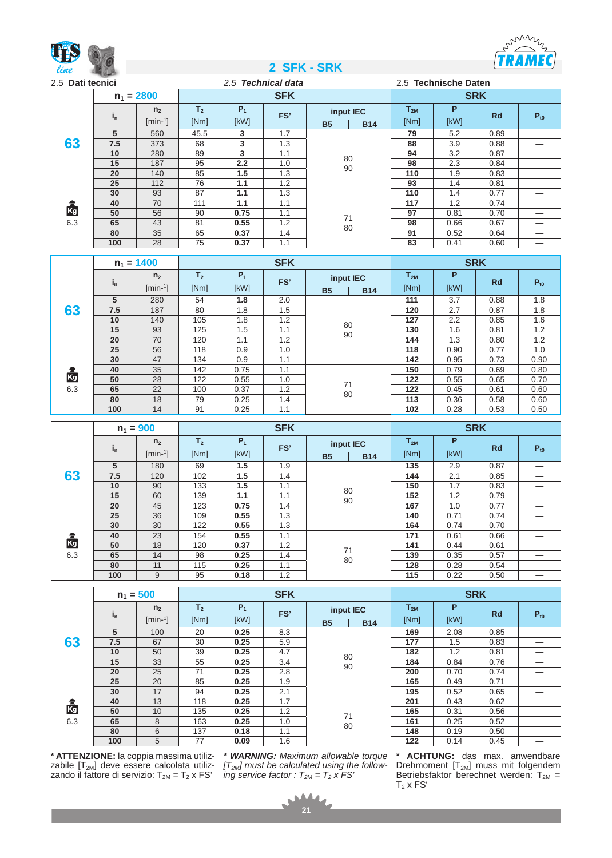



| 2.5 Dati tecnici<br>$n_1 = 2800$ |         |                |                | 2.5 Technical data |            |           |            | 2.5 Technische Daten |      |            |          |
|----------------------------------|---------|----------------|----------------|--------------------|------------|-----------|------------|----------------------|------|------------|----------|
|                                  |         |                |                |                    | <b>SFK</b> |           |            |                      |      | <b>SRK</b> |          |
|                                  | $i_{n}$ | n <sub>2</sub> | T <sub>2</sub> | $P_1$              | FS'        | input IEC |            | $T_{2M}$             | P    | <b>Rd</b>  | $P_{t0}$ |
|                                  |         | $[min-1]$      | [Nm]           | [kW]               |            | <b>B5</b> | <b>B14</b> | [Nm]                 | [kW] |            |          |
|                                  | 5       | 560            | 45.5           | 3                  | 1.7        |           |            | 79                   | 5.2  | 0.89       |          |
| 63                               | 7.5     | 373            | 68             | 3                  | 1.3        |           |            | 88                   | 3.9  | 0.88       |          |
|                                  | 10      | 280            | 89             | 3                  | 1.1        | 80<br>90  |            | 94                   | 3.2  | 0.87       |          |
|                                  | 15      | 187            | 95             | 2.2                | 1.0        |           |            | 98                   | 2.3  | 0.84       |          |
|                                  | 20      | 140            | 85             | 1.5                | 1.3        |           |            | 110                  | 1.9  | 0.83       |          |
|                                  | 25      | 112            | 76             | 1.1                | 1.2        |           |            | 93                   | 1.4  | 0.81       |          |
|                                  | 30      | 93             | 87             | 1.1                | 1.3        |           |            | 110                  | 1.4  | 0.77       |          |
|                                  | 40      | 70             | 111            | 1.1                | 1.1        |           |            | 117                  | 1.2  | 0.74       |          |
| 鹵                                | 50      | 56             | 90             | 0.75               | 1.1        | 71        |            | 97                   | 0.81 | 0.70       |          |
| 6.3                              | 65      | 43             | 81             | 0.55               | 1.2        |           |            | 98                   | 0.66 | 0.67       |          |
|                                  | 80      | 35             | 65             | 0.37               | 1.4        | 80        |            | 91                   | 0.52 | 0.64       |          |
|                                  | 100     | 28             | 75             | 0.37               | 1.1        |           |            |                      | 0.41 | 0.60       |          |

|     |         | $n_1 = 1400$                | <b>SFK</b>             |               |     |                        |            | <b>SRK</b>       |           |           |          |
|-----|---------|-----------------------------|------------------------|---------------|-----|------------------------|------------|------------------|-----------|-----------|----------|
|     | $i_{n}$ | n <sub>2</sub><br>$[min-1]$ | T <sub>2</sub><br>[Nm] | $P_1$<br>[kW] | FS' | input IEC<br><b>B5</b> | <b>B14</b> | $T_{2M}$<br>[Nm] | P<br>[kW] | <b>Rd</b> | $P_{t0}$ |
|     | 5       | 280                         | 54                     | 1.8           | 2.0 |                        |            | 111              | 3.7       | 0.88      | 1.8      |
| 63  | 7.5     | 187                         | 80                     | 1.8           | 1.5 |                        |            | 120              | 2.7       | 0.87      | 1.8      |
|     | 10      | 140                         | 105                    | 1.8           | 1.2 | 80<br>90               |            | 127              | 2.2       | 0.85      | 1.6      |
|     | 15      | 93                          | 125                    | 1.5           | 1.1 |                        |            | 130              | 1.6       | 0.81      | 1.2      |
|     | 20      | 70                          | 120                    | 1.1           | 1.2 |                        |            | 144              | 1.3       | 0.80      | 1.2      |
|     | 25      | 56                          | 118                    | 0.9           | 1.0 |                        |            | 118              | 0.90      | 0.77      | 1.0      |
|     | 30      | 47                          | 134                    | 0.9           | 1.1 |                        |            | 142              | 0.95      | 0.73      | 0.90     |
|     | 40      | 35                          | 142                    | 0.75          | 1.1 |                        |            | 150              | 0.79      | 0.69      | 0.80     |
| Kg  | 50      | 28                          | 122                    | 0.55          | 1.0 | 71                     |            | 122              | 0.55      | 0.65      | 0.70     |
| 6.3 | 65      | 22                          | 100                    | 0.37          | 1.2 |                        |            | 122              | 0.45      | 0.61      | 0.60     |
|     | 80      | 18                          | 79                     | 0.25          | 1.4 | 80                     |            | 113              | 0.36      | 0.58      | 0.60     |
|     | 100     | 14                          | 91                     | 0.25          | 1.1 |                        | 102        | 0.28             | 0.53      | 0.50      |          |

|           |         | $n_1 = 900$                 | <b>SFK</b>             |               |     |                        |            |                  |           | <b>SRK</b> |          |
|-----------|---------|-----------------------------|------------------------|---------------|-----|------------------------|------------|------------------|-----------|------------|----------|
|           | $i_{n}$ | n <sub>2</sub><br>$[min-1]$ | T <sub>2</sub><br>[Nm] | $P_1$<br>[kW] | FS' | input IEC<br><b>B5</b> | <b>B14</b> | $T_{2M}$<br>[Nm] | P<br>[kW] | <b>Rd</b>  | $P_{t0}$ |
|           | 5       | 180                         | 69                     | 1.5           | 1.9 |                        |            | 135              | 2.9       | 0.87       |          |
| 63        | 7.5     | 120                         | 102                    | 1.5           | 1.4 |                        |            | 144              | 2.1       | 0.85       |          |
|           | 10      | 90                          | 133                    | 1.5           | 1.1 | 80<br>90               |            | 150              | 1.7       | 0.83       |          |
|           | 15      | 60                          | 139                    | 1.1           | 1.1 |                        |            | 152              | 1.2       | 0.79       |          |
|           | 20      | 45                          | 123                    | 0.75          | 1.4 |                        |            | 167              | 1.0       | 0.77       |          |
|           | 25      | 36                          | 109                    | 0.55          | 1.3 |                        |            | 140              | 0.71      | 0.74       |          |
|           | 30      | 30                          | 122                    | 0.55          | 1.3 |                        |            | 164              | 0.74      | 0.70       |          |
| <b>Rg</b> | 40      | 23                          | 154                    | 0.55          | 1.1 |                        |            | 171              | 0.61      | 0.66       |          |
|           | 50      | 18                          | 120                    | 0.37          | 1.2 | 71                     |            | 141              | 0.44      | 0.61       |          |
| 6.3       | 65      | 14                          | 98                     | 0.25          | 1.4 |                        |            | 139              | 0.35      | 0.57       |          |
|           | 80      | 11                          | 115                    | 0.25          | 1.1 | 80                     |            | 128              | 0.28      | 0.54       |          |
|           | 100     | 9                           | 95                     | 0.18          | 1.2 |                        |            | 115              | 0.22      | 0.50       |          |

|           |                         | $n_1 = 500$                 |                        |               | <b>SFK</b> |                        |            |                  | <b>SRK</b> |           |          |
|-----------|-------------------------|-----------------------------|------------------------|---------------|------------|------------------------|------------|------------------|------------|-----------|----------|
|           | $\mathbf{i}_\mathsf{n}$ | n <sub>2</sub><br>$[min-1]$ | T <sub>2</sub><br>[Nm] | $P_1$<br>[kW] | FS'        | input IEC<br><b>B5</b> | <b>B14</b> | $T_{2M}$<br>[Nm] | P<br>[kW]  | <b>Rd</b> | $P_{t0}$ |
|           | 5                       | 100                         | 20                     | 0.25          | 8.3        |                        |            | 169              | 2.08       | 0.85      |          |
| 63        | 7.5                     | 67                          | 30                     | 0.25          | 5.9        |                        |            | 177              | 1.5        | 0.83      |          |
|           | 10                      | 50                          | 39                     | 0.25          | 4.7        | 80<br>90               |            | 182              | 1.2        | 0.81      |          |
|           | 15                      | 33                          | 55                     | 0.25          | 3.4        |                        |            | 184              | 0.84       | 0.76      |          |
|           | 20                      | 25                          | 71                     | 0.25          | 2.8        |                        |            | 200              | 0.70       | 0.74      |          |
|           | 25                      | 20                          | 85                     | 0.25          | 1.9        |                        |            | 165              | 0.49       | 0.71      |          |
|           | 30                      | 17                          | 94                     | 0.25          | 2.1        |                        |            | 195              | 0.52       | 0.65      |          |
|           | 40                      | 13                          | 118                    | 0.25          | 1.7        |                        |            | 201              | 0.43       | 0.62      |          |
| Kg<br>6.3 | 50                      | 10                          | 135                    | 0.25          | 1.2        | 71                     |            | 165              | 0.31       | 0.56      |          |
|           | 65                      | 8                           | 163                    | 0.25          | 1.0        |                        |            | 161              | 0.25       | 0.52      |          |
|           | 80                      | 6                           | 137                    | 0.18          | 1.1        | 80                     |            | 148              | 0.19       | 0.50      |          |
|           | 100                     | 5                           | 77                     | 0.09          | 1.6        |                        |            | 122              | 0.14       | 0.45      |          |

**\* ATTENZIONE:** la coppia massima utilizzabile  $\left[T_\mathrm{2M}\right]$  deve essere calcolata utilizzando il fattore di servizio: T $_{2M}$  = T $_{2}$  x FS'

*\* WARNING: Maximum allowable torque [T2M] must be calculated using the following service factor :*  $T_{2M} = T_2 x FS$ 

**\* ACHTUNG:** das max. anwendbare Drehmoment  $[T<sub>2M</sub>]$  muss mit folgendem Betriebsfaktor berechnet werden:  $T_{2M}$  =  $T_2$  x  $FS'$ 

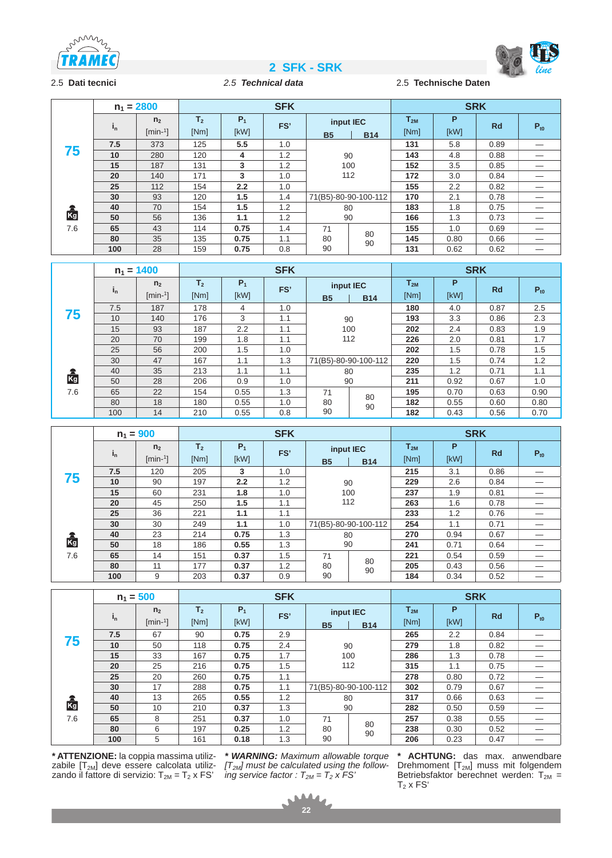





2.5 **Dati tecnici** *2.5 Technical data* 2.5 **Technische Daten**

|     |         | $n_1 = 2800$                |                        |               | <b>SFK</b> |                        |                      |                  | <b>SRK</b>    |           |          |
|-----|---------|-----------------------------|------------------------|---------------|------------|------------------------|----------------------|------------------|---------------|-----------|----------|
|     | $i_{n}$ | n <sub>2</sub><br>$[min-1]$ | T <sub>2</sub><br>[Nm] | $P_1$<br>[kW] | FS'        | input IEC<br><b>B5</b> | <b>B14</b>           | $T_{2M}$<br>[Nm] | P<br>[kW]     | <b>Rd</b> | $P_{t0}$ |
|     | 7.5     | 373                         | 125                    | 5.5           | 1.0        |                        |                      | 131              | 5.8           | 0.89      |          |
| 75  | 10      | 280                         | 120                    | 4             | 1.2        | 90                     |                      | 143              | 4.8           | 0.88      |          |
|     | 15      | 187                         | 131                    | 3             | 1.2        |                        | 100                  |                  | 3.5           | 0.85      |          |
|     | 20      | 140                         | 171                    | 3             | 1.0        | 112                    |                      | 172              | 3.0           | 0.84      |          |
|     | 25      | 112                         | 154                    | 2.2           | 1.0        |                        |                      | 155              | $2.2^{\circ}$ | 0.82      |          |
|     | 30      | 93                          | 120                    | 1.5           | 1.4        |                        | 71(B5)-80-90-100-112 | 170              | 2.1           | 0.78      |          |
| 鸁   | 40      | 70                          | 154                    | 1.5           | 1.2        | 80                     |                      | 183              | 1.8           | 0.75      |          |
|     | 50      | 56                          | 136                    | 1.1           | 1.2        | 90                     |                      | 166              | 1.3           | 0.73      |          |
| 7.6 | 65      | 43                          | 114                    | 0.75          | 1.4        | 71                     |                      | 155              | 1.0           | 0.69      |          |
|     | 80      | 35                          | 135                    | 0.75          | 1.1        | 80                     | 80                   | 145              | 0.80          | 0.66      |          |
|     | 100     | 28                          | 159                    | 0.75          | 0.8        | 90<br>90               |                      | 131              | 0.62          | 0.62      |          |

|     |                 | $n_1 = 1400$                |                        | <b>SFK</b>    |     |                        |                      |                  | <b>SRK</b> |      |          |
|-----|-----------------|-----------------------------|------------------------|---------------|-----|------------------------|----------------------|------------------|------------|------|----------|
|     | $I_n$           | n <sub>2</sub><br>$[min-1]$ | T <sub>2</sub><br>[Nm] | $P_1$<br>[kW] | FS' | input IEC<br><b>B5</b> | <b>B14</b>           | $T_{2M}$<br>[Nm] | P<br>[kW]  | Rd   | $P_{t0}$ |
|     | 7.5             | 187                         | 178                    | 4             | 1.0 |                        |                      | 180              | 4.0        | 0.87 | 2.5      |
| 75  | 10              | 140                         | 176                    | 3             | 1.1 | 90<br>1.1<br>100       |                      | 193              | 3.3        | 0.86 | 2.3      |
|     | 15              | 93                          | 187                    | 2.2           |     |                        |                      | 202              | 2.4        | 0.83 | 1.9      |
|     | 20<br>70<br>199 |                             | 1.8                    | 1.1           | 112 |                        | 226                  | 2.0              | 0.81       | 1.7  |          |
|     | 25              | 56                          | 200                    | 1.5           | 1.0 |                        |                      | 202              | 1.5        | 0.78 | 1.5      |
|     | 30              | 47                          | 167                    | 1.1           | 1.3 |                        | 71(B5)-80-90-100-112 | 220              | 1.5        | 0.74 | 1.2      |
|     | 40              | 35                          | 213                    | 1.1           | 1.1 | 80                     |                      | 235              | 1.2        | 0.71 | 1.1      |
| kg  | 50              | 28                          | 206                    | 0.9           | 1.0 | 90                     |                      | 211              | 0.92       | 0.67 | 1.0      |
| 7.6 | 65              | 22                          | 154                    | 0.55          | 1.3 | 71                     | 80                   | 195              | 0.70       | 0.63 | 0.90     |
|     | 80              | 18                          | 180                    | 0.55          | 1.0 | 80                     | 90                   | 182              | 0.55       | 0.60 | 0.80     |
|     | 100             | 14                          | 210                    | 0.55          | 0.8 | 90                     |                      | 182              | 0.43       | 0.56 | 0.70     |

|     |         | $n_1 = 900$                 | <b>SFK</b>             |               |     |                        |                      |                  |           | <b>SRK</b> |          |
|-----|---------|-----------------------------|------------------------|---------------|-----|------------------------|----------------------|------------------|-----------|------------|----------|
|     | $i_{n}$ | n <sub>2</sub><br>$[min-1]$ | T <sub>2</sub><br>[Nm] | $P_1$<br>[kW] | FS' | input IEC<br><b>B5</b> | <b>B14</b>           | $T_{2M}$<br>[Nm] | P<br>[kW] | <b>Rd</b>  | $P_{t0}$ |
|     | 7.5     | 120                         | 205                    | 3             | 1.0 |                        |                      | 215              | 3.1       | 0.86       |          |
| 75  | 10      | 90                          | 197                    | 2.2           | 1.2 | 90                     |                      | 229              | 2.6       | 0.84       |          |
|     | 15      | 60                          | 231                    | 1.8           | 1.0 | 100<br>112             |                      | 237              | 1.9       | 0.81       |          |
|     | 20      | 45                          | 250                    | 1.5           | 1.1 |                        |                      | 263              | 1.6       | 0.78       |          |
|     | 25      | 36                          | 221                    | 1.1           | 1.1 |                        |                      | 233              | 1.2       | 0.76       |          |
|     | 30      | 30                          | 249                    | 1.1           | 1.0 |                        | 71(B5)-80-90-100-112 | 254              | 1.1       | 0.71       |          |
|     | 40      | 23                          | 214                    | 0.75          | 1.3 | 80                     |                      | 270              | 0.94      | 0.67       |          |
| Kg  | 50      | 18                          | 186                    | 0.55          | 1.3 | 90                     |                      | 241              | 0.71      | 0.64       |          |
| 7.6 | 65      | 14                          | 151                    | 0.37          | 1.5 | 71                     |                      | 221              | 0.54      | 0.59       |          |
|     | 80      | 11                          | 177                    | 0.37          | 1.2 | 80                     | 80                   | 205              | 0.43      | 0.56       |          |
|     | 100     | 9                           | 203                    | 0.37          | 0.9 | 90<br>90               |                      | 184              | 0.34      | 0.52       |          |

|     |         | $n_1 = 500$                 | <b>SFK</b>             |               |     |                        |                      | <b>SRK</b>       |           |           |          |
|-----|---------|-----------------------------|------------------------|---------------|-----|------------------------|----------------------|------------------|-----------|-----------|----------|
|     | $i_{n}$ | n <sub>2</sub><br>$[min-1]$ | T <sub>2</sub><br>[Nm] | $P_1$<br>[kW] | FS' | input IEC<br><b>B5</b> | <b>B14</b>           | $T_{2M}$<br>[Nm] | P<br>[kW] | <b>Rd</b> | $P_{t0}$ |
|     | 7.5     | 67                          | 90                     | 0.75          | 2.9 |                        |                      | 265              | 2.2       | 0.84      |          |
| 75  | 10      | 50                          | 118                    | 0.75          | 2.4 | 90                     |                      | 279              | 1.8       | 0.82      |          |
|     | 15      | 33                          | 167                    | 0.75          | 1.7 | 100<br>112             |                      | 286              | 1.3       | 0.78      |          |
|     | 20      | 25                          | 216                    | 0.75          | 1.5 |                        |                      | 315              | 1.1       | 0.75      |          |
|     | 25      | 20                          | 260                    | 0.75          | 1.1 |                        |                      | 278              | 0.80      | 0.72      |          |
|     | 30      | 17                          | 288                    | 0.75          | 1.1 |                        | 71(B5)-80-90-100-112 | 302              | 0.79      | 0.67      |          |
|     | 40      | 13                          | 265                    | 0.55          | 1.2 | 80                     |                      | 317              | 0.66      | 0.63      |          |
| Kg  | 50      | 10                          | 210                    | 0.37          | 1.3 | 90                     |                      | 282              | 0.50      | 0.59      |          |
| 7.6 | 65      | 8                           | 251                    | 0.37          | 1.0 | 71                     |                      | 257              | 0.38      | 0.55      |          |
|     | 80      | 6                           | 197                    | 0.25          | 1.2 | 80                     | 80                   | 238              | 0.30      | 0.52      |          |
|     | 100     | 5                           | 161                    | 0.18          | 1.3 | 90<br>90               |                      | 206              | 0.23      | 0.47      |          |

**\* ATTENZIONE:** la coppia massima utilizzabile  $[T_{2M}]$  deve essere calcolata utilizzando il fattore di servizio: T $_{2M}$  = T $_2$  x FS'

*\* WARNING: Maximum allowable torque [T2M] must be calculated using the following service factor :*  $T_{2M} = T_2 \times FS$ 

**\* ACHTUNG:** das max. anwendbare Drehmoment  $[T<sub>2M</sub>]$  muss mit folgendem Betriebsfaktor berechnet werden:  $T_{2M}$  =  $T_2$  x FS<sup> $\prime$ </sup>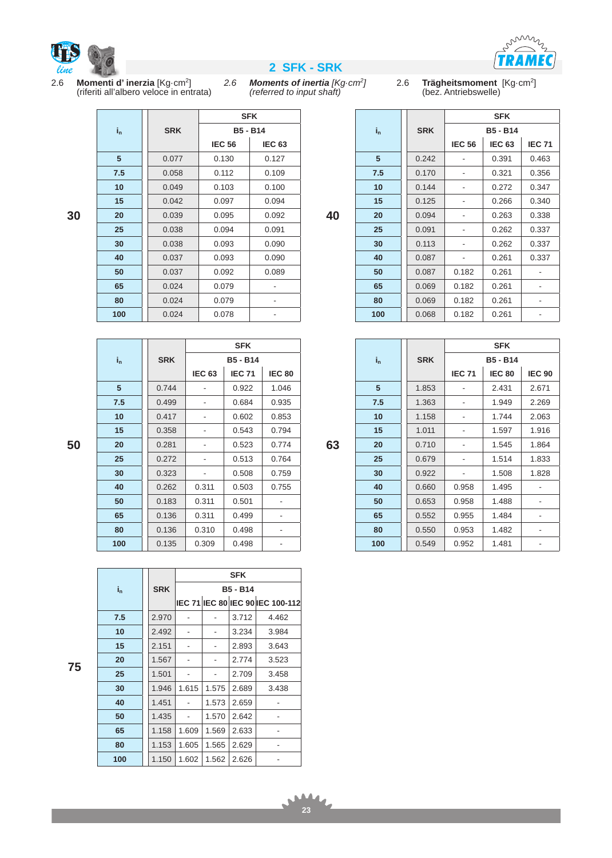

**30**



mins  $\angle$ RAMEC

2.6 **Momenti d' inerzia** [Kg·cm2] (riferiti all'albero veloce in entrata)

*2.6 Moments of inertia [Kg·cm2] (referred to input shaft)*

**SFK**

2.6 **Trägheitsmoment** [Kg·cm2] (bez. Antriebswelle)

|                |    |         |            |               | <b>SFK</b>      |               |
|----------------|----|---------|------------|---------------|-----------------|---------------|
|                |    | $i_{n}$ | <b>SRK</b> |               | <b>B5 - B14</b> |               |
| 3              |    |         |            | <b>IEC 56</b> | <b>IEC 63</b>   | <b>IEC 71</b> |
| 7              |    | 5       | 0.242      |               | 0.391           | 0.463         |
| J              |    | 7.5     | 0.170      |               | 0.321           | 0.356         |
| J              |    | 10      | 0.144      |               | 0.272           | 0.347         |
| 1              |    | 15      | 0.125      |               | 0.266           | 0.340         |
| $\overline{a}$ | 40 | 20      | 0.094      |               | 0.263           | 0.338         |
|                |    | 25      | 0.091      |               | 0.262           | 0.337         |
|                |    | 30      | 0.113      |               | 0.262           | 0.337         |
| J              |    | 40      | 0.087      |               | 0.261           | 0.337         |
| J              |    | 50      | 0.087      | 0.182         | 0.261           |               |
|                |    | 65      | 0.069      | 0.182         | 0.261           |               |
|                |    | 80      | 0.069      | 0.182         | 0.261           |               |
|                |    | 100     | 0.068      | 0.182         | 0.261           |               |

| 100     | 0.068      | 0.182         | 0.261           |               |
|---------|------------|---------------|-----------------|---------------|
|         |            |               |                 |               |
|         |            |               | <b>SFK</b>      |               |
| $i_{n}$ | <b>SRK</b> |               | <b>B5 - B14</b> |               |
|         |            | <b>IEC 71</b> | <b>IEC 80</b>   | <b>IEC 90</b> |
| 5       | 1.853      |               | 2.431           | 2.671         |
| 7.5     | 1.363      |               | 1.949           | 2.269         |
| 10      | 1.158      |               | 1.744           | 2.063         |
| 15      | 1.011      |               | 1.597           | 1.916         |
| 20      | 0.710      |               | 1.545           | 1.864         |
| 25      | 0.679      |               | 1.514           | 1.833         |
| 30      | 0.922      |               | 1.508           | 1.828         |
| 40      | 0.660      | 0.958         | 1.495           |               |
| 50      | 0.653      | 0.958         | 1.488           |               |
| 65      | 0.552      | 0.955         | 1.484           |               |
| 80      | 0.550      | 0.953         | 1.482           |               |
| 100     | 0.549      | 0.952         | 1.481           |               |

**in SRK B5 - B14 IEC 56 | IEC 63**  | 0.077 | 0.130 | 0.127 **7.5** 0.058 0.112 0.109 | 0.049 | 0.103 | 0.100 0.042 0.097 0.094 0.039 0.095 0.092  $\begin{array}{|c|c|c|c|c|} \hline \textbf{0.038} & \textbf{0.094} & \textbf{0.091} \hline \end{array}$  0.038 0.093 0.090 0.037 0.093 0.090 0.037 0.092 0.089 0.024 0.079 - 0.024 0.079 -0.024 0.078 -

|         |            |               | <b>SFK</b>      |               |
|---------|------------|---------------|-----------------|---------------|
| $i_{n}$ | <b>SRK</b> |               | <b>B5 - B14</b> |               |
|         |            | <b>IEC 63</b> | <b>IEC 71</b>   | <b>IEC 80</b> |
| 5       | 0.744      |               | 0.922           | 1.046         |
| 7.5     | 0.499      |               | 0.684           | 0.935         |
| 10      | 0.417      |               | 0.602           | 0.853         |
| 15      | 0.358      |               | 0.543           | 0.794         |
| 20      | 0.281      |               | 0.523           | 0.774         |
| 25      | 0.272      |               | 0.513           | 0.764         |
| 30      | 0.323      |               | 0.508           | 0.759         |
| 40      | 0.262      | 0.311         | 0.503           | 0.755         |
| 50      | 0.183      | 0.311         | 0.501           |               |
| 65      | 0.136      | 0.311         | 0.499           |               |
| 80      | 0.136      | 0.310         | 0.498           |               |
| 100     | 0.135      | 0.309         | 0.498           |               |

**in SRK SFK B5 - B14 IEC 71 IEC 80 IEC 90 IEC 100-112 7.5** | 2.970 | - | - | 3.712 | 4.462  $\begin{vmatrix} 2.492 & - & - & 3.234 & 3.984 \end{vmatrix}$   $\begin{array}{|c|c|c|c|c|c|} \hline 2.151 & - & - & 2.893 & 3.643 \ \hline \end{array}$  |  $1.567$  | -  $\vert$  -  $\vert$  2.774 | 3.523 |  $1.501$  -  $\vert$  -  $\vert$  2.709 | 3.458 | 1.946 | 1.615 | 1.575 | 2.689 | 3.438 | 1.451 - | 1.573 | 2.659 | | 1.435 | - | 1.570 | 2.642 | | 1.158 | 1.609 | 1.569 | 2.633 | | 1.153 | 1.605 | 1.565 | 2.629 | | 1.150 | 1.602 | 1.562 | 2.626 |

**23** 

**63**

**50**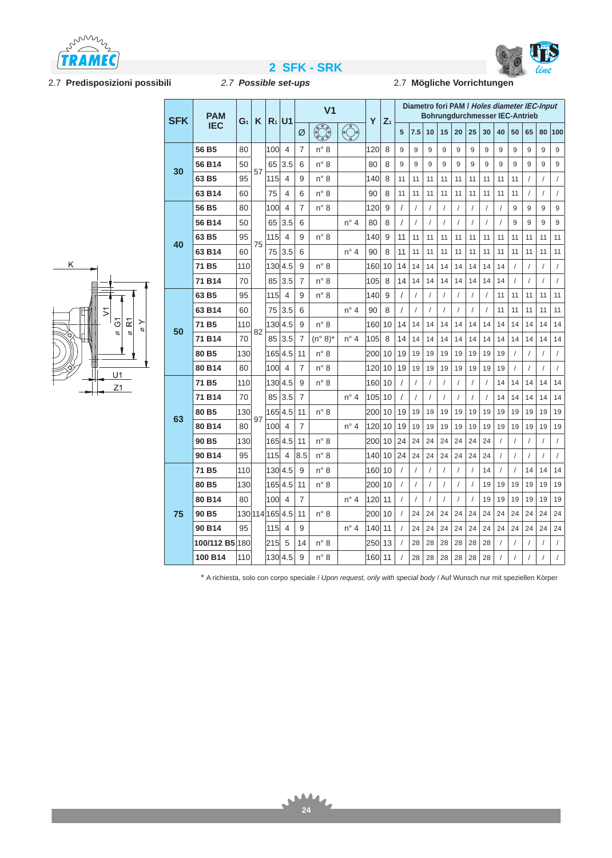



h

# 2.7 **Predisposizioni possibili** *2.7 Possible set-ups* 2.7 **Mögliche Vorrichtungen**

# والمساحد والمنا

# **2 SFK - SRK**<br>2.7 Possible set-ups **2.7 Mögliche Vorrichtungen**

Ŧ



| <b>SFK</b> | <b>PAM</b>        |                 |    | $R_1$ U1 |                |     | V <sub>1</sub>          | Υ             |     |       |          |                |            |    |            | <b>Bohrungdurchmesser IEC-Antrieb</b> |          |            |                      | Diametro fori PAM / Holes diameter IEC-Input |                |            |
|------------|-------------------|-----------------|----|----------|----------------|-----|-------------------------|---------------|-----|-------|----------|----------------|------------|----|------------|---------------------------------------|----------|------------|----------------------|----------------------------------------------|----------------|------------|
|            | <b>IEC</b>        | G <sub>1</sub>  | K  |          |                | Ø   | $\overline{\mathbb{C}}$ | $\odot$       |     | $Z_1$ | 5        | 7.5            | 10         | 15 | 20         | 25                                    | 30       | 40         | 50                   | 65                                           | 80             | 100        |
|            | 56 B5             | 80              |    | 100      | $\overline{4}$ | 7   | $n^{\circ}$ 8           |               | 120 | 8     | 9        | 9              | 9          | 9  | 9          | 9                                     | 9        | 9          | 9                    | 9                                            | 9              | 9          |
| 30         | 56 B14            | 50              | 57 | 65       | 3.5            | 6   | $n^{\circ}$ 8           |               | 80  | 8     | 9        | 9              | 9          | 9  | 9          | 9                                     | 9        | 9          | 9                    | 9                                            | 9              | 9          |
|            | 63 B5             | 95              |    | 115      | 4              | 9   | $n^{\circ}$ 8           |               | 140 | 8     | 11       | 11             | 11         | 11 | 11         | 11                                    | 11       | 11         | 11                   | 7                                            | $\prime$       | $\sqrt{2}$ |
|            | 63 B14            | 60              |    | 75       | 4              | 6   | $n^{\circ}$ 8           |               | 90  | 8     | 11       | 11             | 11         | 11 | 11         | 11                                    | 11       | 11         | 11                   | /                                            | $\prime$       | $\sqrt{2}$ |
|            | 56 B5             | 80              |    | 100      | $\overline{4}$ | 7   | $n^{\circ}$ 8           |               | 120 | 9     | 1        | $\prime$       | $\sqrt{2}$ | 1  | $\prime$   | $\prime$                              | $\prime$ | $\sqrt{ }$ | 9                    | 9                                            | 9              | 9          |
|            | 56 B14            | 50              |    | 65       | 3.5            | 6   |                         | $n^{\circ}$ 4 | 80  | 8     | T        | $\prime$       | $\sqrt{2}$ | 7  | $\prime$   | $\sqrt{2}$                            | $\prime$ | $\prime$   | 9                    | 9                                            | 9              | 9          |
| 40         | 63 B5             | 95              | 75 | 115      | $\overline{4}$ | 9   | $n^{\circ}$ 8           |               | 140 | 9     | 11       | 11             | 11         | 11 | 11         | 11                                    | 11       | 11         | 11                   | 11                                           | 11             | 11         |
|            | 63 B14            | 60              |    | 75       | 3.5            | 6   |                         | $n^{\circ}$ 4 | 90  | 8     | 11       | 11             | 11         | 11 | 11         | 11                                    | 11       | 11         | 11                   | 11                                           | 11             | 11         |
|            | 71 B <sub>5</sub> | 110             |    | 130 4.5  |                | 9   | $n^{\circ}$ 8           |               | 160 | 10    | 14       | 14             | 14         | 14 | 14         | 14                                    | 14       | 14         | $\sqrt{2}$           |                                              | $\prime$       | $\sqrt{2}$ |
|            | 71 B14            | 70              |    | 85       | 3.5            | 7   | $n^{\circ}$ 8           |               | 105 | 8     | 14       | 14             | 14         | 14 | 14         | 14                                    | 14       | 14         | $\sqrt{2}$           | 7                                            | $\prime$       | $\sqrt{ }$ |
|            | 63 B5             | 95              |    | 115      | $\overline{4}$ | 9   | $n^{\circ}$ 8           |               | 140 | 9     |          | $\sqrt{2}$     | $\sqrt{2}$ |    | $\sqrt{2}$ | $\prime$                              |          | 11         | 11                   | 11                                           | 11             | 11         |
|            | 63 B14            | 60              |    | 75       | 3.5            | 6   |                         | $n^{\circ}$ 4 | 90  | 8     | T        | $\prime$       | $\sqrt{2}$ | 1  | $\prime$   | $\prime$                              | 1        | 11         | 11                   | 11                                           | 11             | 11         |
| 50         | 71 B <sub>5</sub> | 110             | 82 | 130 4.5  |                | 9   | $n^{\circ}$ 8           |               | 160 | 10    | 14       | 14             | 14         | 14 | 14         | 14                                    | 14       | 14         | 14                   | 14                                           | 14             | 14         |
|            | 71 B14            | 70              |    | 85       | 3.5            | 7   | $(n^{\circ} 8)^*$       | $n^{\circ}$ 4 | 105 | 8     | 14       | 14             | 14         | 14 | 14         | 14                                    | 14       | 14         | 14                   | 14                                           | 14             | 14         |
|            | 80 <sub>B5</sub>  | 130             |    | 165 4.5  |                | 11  | $n^{\circ}$ 8           |               | 200 | 10    | 19       | 19             | 19         | 19 | 19         | 19                                    | 19       | 19         | $\prime$             | 7                                            | $\prime$       | $\prime$   |
|            | 80 B14            | 80              |    | 100      | $\overline{4}$ | 7   | $n^{\circ}$ 8           |               | 120 | 10    | 19       | 19             | 19         | 19 | 19         | 19                                    | 19       | 19         | $\sqrt{2}$           |                                              | $\prime$       | $\sqrt{2}$ |
|            | 71 B <sub>5</sub> | 110             |    | 130 4.5  |                | 9   | $n^{\circ}$ 8           |               | 160 | 10    |          | $\prime$       | $\prime$   | 1  | $\prime$   | $\prime$                              |          | 14         | 14                   | 14                                           | 14             | 14         |
|            | 71 B14            | 70              |    | 85       | 3.5            | 7   |                         | $n^{\circ}$ 4 | 105 | 10    |          | $\prime$       | $\sqrt{2}$ | 7  | $\prime$   | $\prime$                              |          | 14         | 14                   | 14                                           | 14             | 14         |
| 63         | 80 <sub>B5</sub>  | 130             | 97 | 165 4.5  |                | 11  | $n^{\circ}$ 8           |               | 200 | 10    | 19       | 19             | 19         | 19 | 19         | 19                                    | 19       | 19         | 19                   | 19                                           | 19             | 19         |
|            | 80 B14            | 80              |    | 100      | $\overline{4}$ | 7   |                         | $n^{\circ}$ 4 | 120 | 10    | 19       | 19             | 19         | 19 | 19         | 19                                    | 19       | 19         | 19                   | 19                                           | 19             | 19         |
|            | 90 <sub>B5</sub>  | 130             |    | 1654.5   |                | 11  | $n^{\circ}$ 8           |               | 200 | 10    | 24       | 24             | 24         | 24 | 24         | 24                                    | 24       | 1          | $\sqrt{2}$           | 1                                            | $\sqrt{2}$     | $\sqrt{2}$ |
|            | 90 B14            | 95              |    | 115      | $\overline{4}$ | 8.5 | $n^{\circ}$ 8           |               | 140 | 10    | 24       | 24             | 24         | 24 | 24         | 24                                    | 24       | $\prime$   | $\sqrt{2}$           | 1                                            | $\prime$       | $\sqrt{ }$ |
|            | 71 B <sub>5</sub> | 110             |    | 130 4.5  |                | 9   | $n^{\circ}$ 8           |               | 160 | 10    | 1        | $\prime$       | $\sqrt{2}$ | 7  | $\prime$   | $\prime$                              | 14       | $\prime$   | $\prime$             | 14                                           | 14             | 14         |
|            | 80 <sub>B5</sub>  | 130             |    | 1654.5   |                | 11  | $n^{\circ}$ 8           |               | 200 | 10    | /        | $\prime$       | $\sqrt{2}$ | 1  | $\prime$   | $\sqrt{2}$                            | 19       | 19         | 19                   | 19                                           | 19             | 19         |
|            | 80 B14            | 80              |    | 100      | $\overline{4}$ | 7   |                         | $n^{\circ}$ 4 | 120 | 11    | $\prime$ | $\overline{1}$ | $\sqrt{2}$ |    | $\sqrt{2}$ | $\sqrt{ }$                            | 19       | 19         | 19                   | 19                                           | 19             | 19         |
| 75         | 90 <sub>B5</sub>  | 130 114 165 4.5 |    |          |                | 11  | $n^{\circ}$ 8           |               | 200 | 10    |          | 24             | 24         | 24 | 24         | 24                                    | 24       | 24         | 24                   | 24                                           | 24             | 24         |
|            | 90 B14            | 95              |    | 115      | 4              | 9   |                         | $n^{\circ}$ 4 | 140 | 11    |          | 24             | 24         | 24 | 24         | 24                                    | 24       | 24         | 24                   | 24                                           | 24             | 24         |
|            | 100/112 B5 180    |                 |    | 215      | 5              | 14  | $n^{\circ}$ 8           |               | 250 | 13    |          | 28             | 28         | 28 | 28         | 28                                    | 28       |            | $\sqrt{\phantom{a}}$ |                                              | $\sqrt{2}$     | $\sqrt{ }$ |
|            | 100 B14           | 110             |    | 130 4.5  |                | 9   | $n^{\circ}$ 8           |               | 160 | 11    |          | 28             | 28         | 28 | 28         | 28                                    | 28       |            | $\prime$             |                                              | $\overline{I}$ | $\sqrt{2}$ |

\* A richiesta, solo con corpo speciale / *Upon request, only with special body* / Auf Wunsch nur mit speziellen Körper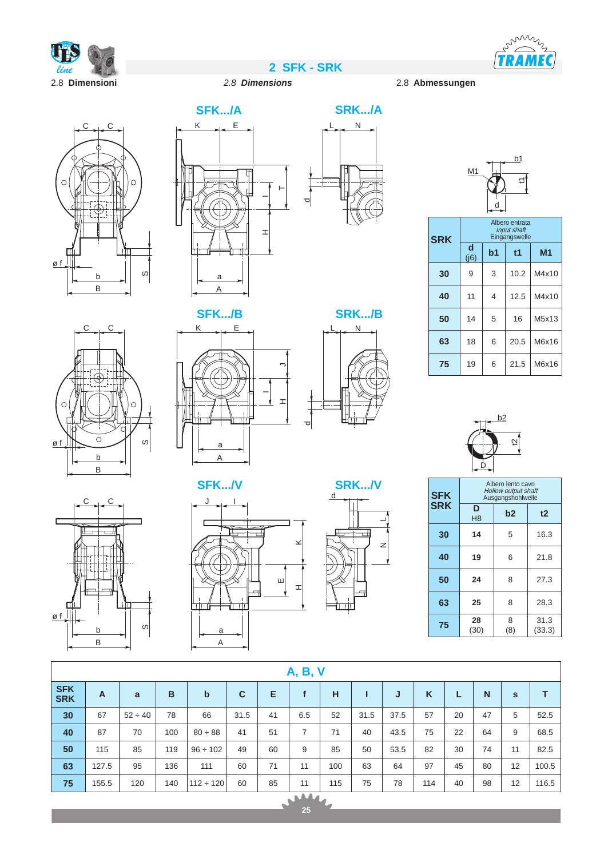



b1

# 2.8 **Dimensioni** *2.8 Dimensions* 2.8 **Abmessungen**







|            | M <sub>1</sub> |                | Ξ1                                                    |                |
|------------|----------------|----------------|-------------------------------------------------------|----------------|
| <b>SRK</b> |                |                | Albero entrata<br><b>Input shaft</b><br>Eingangswelle |                |
|            | d<br>(j6)      | b <sub>1</sub> | t1                                                    | M <sub>1</sub> |
| 30         | 9              | 3              | 10.2                                                  | M4x10          |
| 40         | 11             | 4              | 12.5                                                  | M4x10          |
| 50         | 14             | 5              | 16                                                    | M5x13          |
| 63         | 18             | 6              | 20.5                                                  | M6x16          |
| 75         | 19             | 6              | 21.5                                                  | M6x16          |





8 (8)

31.3 (33.3)

**<sup>75</sup> <sup>28</sup>** (30)







d







|                          | <b>A, B, V</b>                                    |              |     |                |             |    |              |     |      |      |     |    |    |              |       |
|--------------------------|---------------------------------------------------|--------------|-----|----------------|-------------|----|--------------|-----|------|------|-----|----|----|--------------|-------|
| <b>SFK</b><br><b>SRK</b> | $\overline{A}$                                    | a            | B   | $\mathbf b$    | $\mathbf c$ | Е  | $\mathbf{f}$ | H   | п    | J    | K   | L  | N  | $\mathbf{s}$ | т     |
| 30                       | 67                                                | $52 \div 40$ | 78  | 66             | 31.5        | 41 | 6.5          | 52  | 31.5 | 37.5 | 57  | 20 | 47 | 5            | 52.5  |
| 40                       | 87                                                | 70           | 100 | $80 \div 88$   | 41          | 51 | 7            | 71  | 40   | 43.5 | 75  | 22 | 64 | 9            | 68.5  |
| 50                       | 115                                               | 85           | 119 | $96 \div 102$  | 49          | 60 | 9            | 85  | 50   | 53.5 | 82  | 30 | 74 | 11           | 82.5  |
| 63                       | 127.5                                             | 95           | 136 | 111            | 60          | 71 | 11           | 100 | 63   | 64   | 97  | 45 | 80 | 12           | 100.5 |
| 75                       | 155.5                                             | 120          | 140 | $112 \div 120$ | 60          | 85 | 11           | 115 | 75   | 78   | 114 | 40 | 98 | 12           | 116.5 |
|                          | $\begin{array}{c}\n\sqrt{144} \\ 25\n\end{array}$ |              |     |                |             |    |              |     |      |      |     |    |    |              |       |
|                          |                                                   |              |     |                |             |    |              |     |      |      |     |    |    |              |       |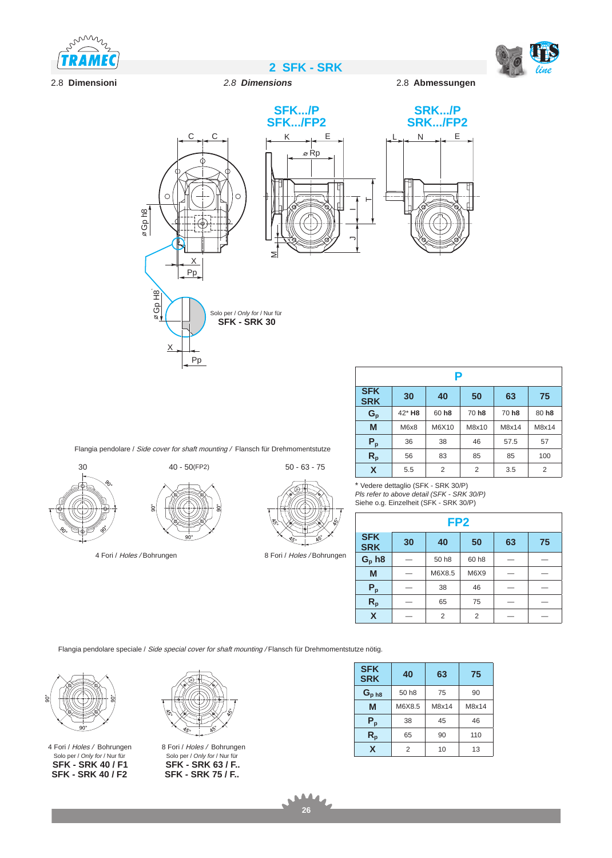



## 2.8 **Dimensioni** *2.8 Dimensions* 2.8 **Abmessungen**





**2 SFK - SRK** *line*



Flangia pendolare / Side cover for shaft mounting / Flansch für Drehmomentstutze



4 Fori / Holes / Bohrungen



\* Vedere dettaglio (SFK - SRK 30/P) *Pls refer to above detail (SFK - SRK 30/P)* Siehe o.g. Einzelheit (SFK - SRK 30/P)

| لغذل<br>Š<br>$\mathbb{R}$                             | - -                      |    | FP <sub>2</sub>   |                   |    |    |
|-------------------------------------------------------|--------------------------|----|-------------------|-------------------|----|----|
| AS.<br>$\overline{\mathscr{S}_{\mathcal{S}^{\circ}}}$ | <b>SFK</b><br><b>SRK</b> | 30 | 40                | 50                | 63 | 75 |
| 8 Fori / Holes / Bohrungen                            | $G_p$ h8                 |    | 50 h <sub>8</sub> | 60 h <sub>8</sub> |    |    |
|                                                       | M                        |    | M6X8.5            | M6X9              |    |    |
|                                                       | $P_p$                    |    | 38                | 46                |    |    |
|                                                       |                          |    |                   |                   |    |    |

**R<sub>p</sub>**  $65$   $75$   $-$ **X** — 2 2 — —

Flangia pendolare speciale / Side special cover for shaft mounting / Flansch für Drehmomentstutze nötig.



Solo per / *Only for* / Nur für **SFK - SRK 40 / F1 SFK - SRK 40 / F2** 4 Fori / Holes / Bohrungen



8 Fori / Holes / Bohrungen Solo per / *Only for* / Nur für **SFK - SRK 63 / F.. SFK - SRK 75 / F..**

| <b>SFK</b><br><b>SRK</b>  | 40                | 63    | 75    |
|---------------------------|-------------------|-------|-------|
| $G_{p h 8}$               | 50 h <sub>8</sub> | 75    | 90    |
| M                         | M6X8.5            | M8x14 | M8x14 |
| $P_p$                     | 38                | 45    | 46    |
| $\mathsf{R}_{\mathsf{p}}$ | 65                | 90    | 110   |
| X                         | 2                 | 10    | 13    |

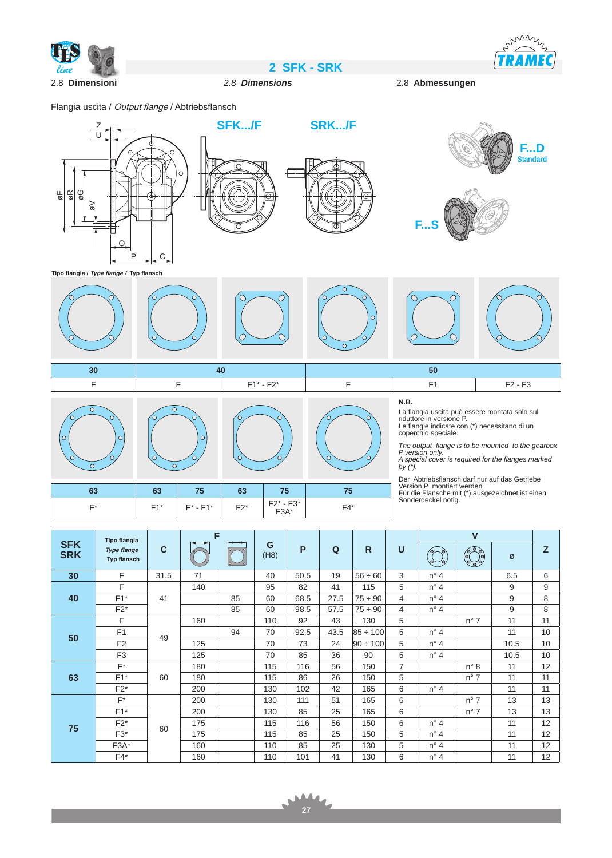

2.8 **Dimensioni** *2.8 Dimensions* 2.8 **Abmessungen**

Flangia uscita / Output flange / Abtriebsflansch





**SFK.../F**



**SRK.../F**



miny  $\overline{\phantom{a}}$ **TRAMEC** 

**Tipo flangia / Type flange / Typ flansch**





| $\sim$ | co<br>ნა | 75             | 63    |                          |       |
|--------|----------|----------------|-------|--------------------------|-------|
| r*     | $E4*$    | $F^*$ - $F1^*$ | $F2*$ | $F2^* - F3^*$<br>$F3A^*$ | $FA*$ |

*by (\*).*

Der Abtriebsflansch darf nur auf das Getriebe Version P montiert werden Für die Flansche mit (\*) ausgezeichnet ist einen Sonderdeckel nötig.

| <b>Tipo flangia</b>      |                                          |              | F   |    |           |      |      |               |                |               |               |      |    |
|--------------------------|------------------------------------------|--------------|-----|----|-----------|------|------|---------------|----------------|---------------|---------------|------|----|
| <b>SFK</b><br><b>SRK</b> | <b>Type flange</b><br><b>Typ flansch</b> | $\mathbf{C}$ | to- |    | G<br>(H8) | P    | Q    | $\mathsf{R}$  | $\mathbf U$    |               | $\odot$       | Ø    | Z  |
| 30                       | F                                        | 31.5         | 71  |    | 40        | 50.5 | 19   | $56 \div 60$  | 3              | $n^{\circ}$ 4 |               | 6.5  | 6  |
|                          | F                                        |              | 140 |    | 95        | 82   | 41   | 115           | 5              | $n^{\circ}$ 4 |               | 9    | 9  |
| 40                       | $F1*$                                    | 41           |     | 85 | 60        | 68.5 | 27.5 | $75 \div 90$  | 4              | $n^{\circ}$ 4 |               | 9    | 8  |
|                          | $F2^*$                                   |              |     | 85 | 60        | 98.5 | 57.5 | $75 \div 90$  | 4              | $n^{\circ}$ 4 |               | 9    | 8  |
|                          | F                                        |              | 160 |    | 110       | 92   | 43   | 130           | 5              |               | $n^{\circ}$ 7 | 11   | 11 |
| 50                       | F1                                       | 49           |     | 94 | 70        | 92.5 | 43.5 | $85 \div 100$ | 5              | $n^{\circ}$ 4 |               | 11   | 10 |
|                          | F <sub>2</sub>                           |              | 125 |    | 70        | 73   | 24   | $90 \div 100$ | 5              | $n^{\circ}$ 4 |               | 10.5 | 10 |
|                          | F <sub>3</sub>                           |              | 125 |    | 70        | 85   | 36   | 90            | 5              | $n^{\circ}$ 4 |               | 10.5 | 10 |
|                          | $F^*$                                    |              | 180 |    | 115       | 116  | 56   | 150           | $\overline{7}$ |               | $n^{\circ}$ 8 | 11   | 12 |
| 63                       | $F1*$                                    | 60           | 180 |    | 115       | 86   | 26   | 150           | 5              |               | $n^{\circ}$ 7 | 11   | 11 |
|                          | $F2^*$                                   |              | 200 |    | 130       | 102  | 42   | 165           | 6              | $n^{\circ}$ 4 |               | 11   | 11 |
|                          | $F^*$                                    |              | 200 |    | 130       | 111  | 51   | 165           | 6              |               | $n^{\circ}$ 7 | 13   | 13 |
|                          | $F1*$                                    |              | 200 |    | 130       | 85   | 25   | 165           | 6              |               | $n^{\circ}$ 7 | 13   | 13 |
|                          | $F2^*$                                   | 60           | 175 |    | 115       | 116  | 56   | 150           | 6              | $n^{\circ}$ 4 |               | 11   | 12 |
| 75                       | $F3*$                                    |              | 175 |    | 115       | 85   | 25   | 150           | 5              | $n^{\circ}$ 4 |               | 11   | 12 |
|                          | $F3A*$                                   |              | 160 |    | 110       | 85   | 25   | 130           | 5              | $n^{\circ}$ 4 |               | 11   | 12 |
|                          | $F4*$                                    |              | 160 |    | 110       | 101  | 41   | 130           | 6              | $n^{\circ}$ 4 |               | 11   | 12 |

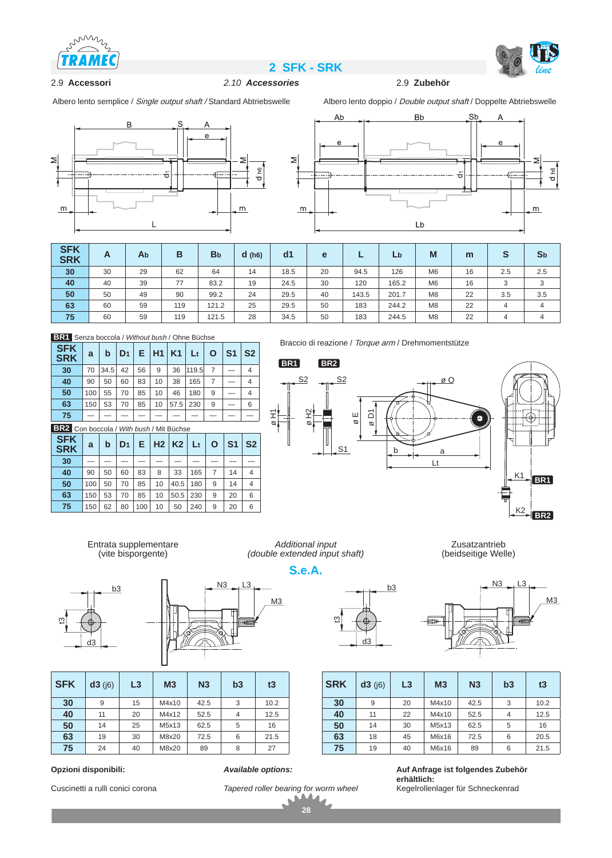





2.9 Accessori 2.10 Accessories

Albero lento semplice / Single output shaft / Standard Abtriebswelle Albero lento doppio / Double output shaft / Doppelte Abtriebswelle





| <b>SFK</b><br><b>SRK</b> | A  | Ab | в   | <b>B</b> <sub>b</sub> | d(h6) | dd1  | e  |       | Lb    | M              | m  | S   | S <sub>b</sub> |
|--------------------------|----|----|-----|-----------------------|-------|------|----|-------|-------|----------------|----|-----|----------------|
| 30                       | 30 | 29 | 62  | 64                    | 14    | 18.5 | 20 | 94.5  | 126   | M <sub>6</sub> | 16 | 2.5 | 2.5            |
| 40                       | 40 | 39 | 77  | 83.2                  | 19    | 24.5 | 30 | 120   | 165.2 | M <sub>6</sub> | 16 | 3   | 3              |
| 50                       | 50 | 49 | 90  | 99.2                  | 24    | 29.5 | 40 | 143.5 | 201.7 | M <sub>8</sub> | 22 | 3.5 | 3.5            |
| 63                       | 60 | 59 | 119 | 121.2                 | 25    | 29.5 | 50 | 183   | 244.2 | M <sub>8</sub> | 22 | 4   | $\overline{4}$ |
| 75                       | 60 | 59 | 119 | 121.5                 | 28    | 34.5 | 50 | 183   | 244.5 | M <sub>8</sub> | 22 | 4   | $\overline{4}$ |

|  | <b>BR1</b> Senza boccola / Without bush / Ohne Büchse |  |  |
|--|-------------------------------------------------------|--|--|
|  |                                                       |  |  |

| <b>SFK</b><br><b>SRK</b>                 | a   | b    | D <sub>1</sub> |    | $E$   H1 | K1    | $_{\rm Lt}$    | O              | S <sub>1</sub> | S <sub>2</sub> |
|------------------------------------------|-----|------|----------------|----|----------|-------|----------------|----------------|----------------|----------------|
| 30                                       | 70  | 34.5 | 42             | 56 | 9        | 36    | 119.5          | $\overline{7}$ |                | $\overline{4}$ |
| 40                                       | 90  | 50   | 60             | 83 | 10       | 38    | 165            | 7              |                | 4              |
| 50                                       | 100 | 55   | 70             | 85 | 10       | 46    | 180            | 9              |                | 4              |
| 63                                       | 150 | 53   | 70             | 85 | 10       | 57.5  | 230            | 9              |                | 6              |
| 75                                       |     |      |                |    |          |       |                |                |                |                |
| BR2 Con boccola / With bush / Mit Büchse |     |      |                |    |          |       |                |                |                |                |
| <b>SFK</b><br><b>SRK</b>                 | a   | b    | D <sub>1</sub> | E. |          | H2 K2 | L <sub>t</sub> | O              | S <sub>1</sub> | S <sub>2</sub> |

| <b>SRK</b> | $\mathbf{a}$ | IJ |    |     |    | <u>E HIZHNA ER</u> |     | ັບ | .  | .JZ |
|------------|--------------|----|----|-----|----|--------------------|-----|----|----|-----|
| 30         |              |    |    |     |    |                    |     |    |    |     |
| 40         | 90           | 50 | 60 | 83  | 8  | 33                 | 165 |    | 14 | 4   |
| 50         | 100          | 50 | 70 | 85  | 10 | $40.5$   180       |     | 9  | 14 | 4   |
| 63         | 150          | 53 | 70 | 85  | 10 | $50.5$   230       |     | 9  | 20 | 6   |
| 75         | 150          | 62 | 80 | 100 | 10 | 50                 | 240 | 9  | 20 | 6   |

Braccio di reazione / Torque arm / Drehmomentstütze

d3

 $\mathfrak{B}$ 

 $b3$ 









| <b>SFK</b> | $d3$ ( $ 6$ ) |    | M <sub>3</sub> | N <sub>3</sub> | b3             | t3   |  |
|------------|---------------|----|----------------|----------------|----------------|------|--|
| 30         | 9             | 15 | M4x10          | 42.5           | 3              | 10.2 |  |
| 40         | 11            | 20 | M4x12          | 52.5           | $\overline{4}$ | 12.5 |  |
| 50         | 14            | 25 | M5x13          | 62.5           | 5              | 16   |  |
| 63         | 19            | 30 | M8x20          | 72.5           | 6              | 21.5 |  |
| 75         | 24            | 40 | M8x20          | 89             | 8              | 27   |  |

**Opzioni disponibili:**

Cuscinetti a rulli conici corona

# *Available options:*



**28**

d

**S.e.A.**

*Additional input (double extended input shaft)*



Zusatzantrieb (beidseitige Welle)



| <b>SRK</b><br>$d3$ ( $ 6$ ) |    | L <sub>3</sub> | M <sub>3</sub> | N <sub>3</sub> | b3             | t3   |  |
|-----------------------------|----|----------------|----------------|----------------|----------------|------|--|
| 30                          | 9  | 20             | M4x10          | 42.5           | 3              | 10.2 |  |
| 40                          | 11 | 22             | M4x10          | 52.5           | $\overline{4}$ | 12.5 |  |
| 50                          | 14 | 30             | M5x13          | 62.5           | 5              | 16   |  |
| 63                          | 18 | 45             | M6x16          | 72.5           | 6              | 20.5 |  |
| 75                          | 19 | 40             | M6x16          | 89             | 6              | 21.5 |  |

**Auf Anfrage ist folgendes Zubehör erhältlich:** Kegelrollenlager für Schneckenrad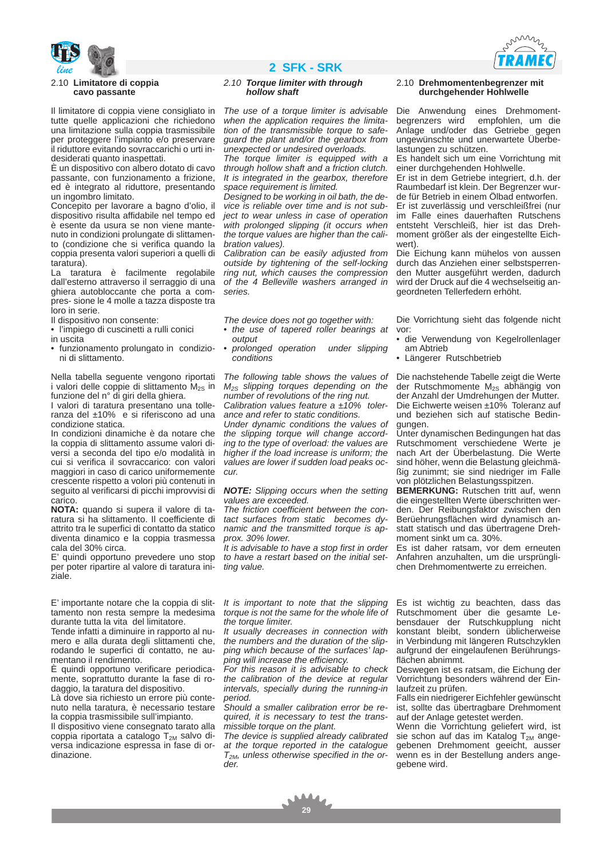

### 2.10 **Limitatore di coppia cavo passante**

Il limitatore di coppia viene consigliato in tutte quelle applicazioni che richiedono una limitazione sulla coppia trasmissibile per proteggere l'impianto e/o preservare il riduttore evitando sovraccarichi o urti indesiderati quanto inaspettati.

È un dispositivo con albero dotato di cavo passante, con funzionamento a frizione, ed è integrato al riduttore, presentando un ingombro limitato.

Concepito per lavorare a bagno d'olio, il dispositivo risulta affidabile nel tempo ed è esente da usura se non viene mantenuto in condizioni prolungate di slittamento (condizione che si verifica quando la coppia presenta valori superiori a quelli di taratura).

La taratura è facilmente regolabile dall'esterno attraverso il serraggio di una ghiera autobloccante che porta a compres- sione le 4 molle a tazza disposte tra loro in serie.

Il dispositivo non consente:

- l'impiego di cuscinetti a rulli conici
- in uscita
- funzionamento prolungato in condizioni di slittamento.

Nella tabella seguente vengono riportati i valori delle coppie di slittamento M<sub>2S</sub> in funzione del n° di giri della ghiera.

I valori di taratura presentano una tolleranza del ±10% e si riferiscono ad una condizione statica.

In condizioni dinamiche è da notare che la coppia di slittamento assume valori diversi a seconda del tipo e/o modalità in cui si verifica il sovraccarico: con valori maggiori in caso di carico uniformemente crescente rispetto a volori più contenuti in seguito al verificarsi di picchi improvvisi di carico.

**NOTA:** quando si supera il valore di taratura si ha slittamento. Il coefficiente di attrito tra le superfici di contatto da statico diventa dinamico e la coppia trasmessa cala del 30% circa.

E' quindi opportuno prevedere uno stop per poter ripartire al valore di taratura iniziale.

E' importante notare che la coppia di slittamento non resta sempre la medesima durante tutta la vita del limitatore.

Tende infatti a diminuire in rapporto al numero e alla durata degli slittamenti che, rodando le superfici di contatto, ne aumentano il rendimento.

È quindi opportuno verificare periodicamente, soprattutto durante la fase di rodaggio, la taratura del dispositivo.

Là dove sia richiesto un errore più contenuto nella taratura, è necessario testare la coppia trasmissibile sull'impianto.

Il dispositivo viene consegnato tarato alla coppia riportata a catalogo  $T_{2M}$  salvo diversa indicazione espressa in fase di ordinazione.

# *line* **2 SFK - SRK**

### *2.10 Torque limiter with through hollow shaft*

*The use of a torque limiter is advisable when the application requires the limitation of the transmissible torque to safeguard the plant and/or the gearbox from unexpected or undesired overloads.* 

*The torque limiter is equipped with a through hollow shaft and a friction clutch. It is integrated in the gearbox, therefore space requirement is limited.* 

*Designed to be working in oil bath, the device is reliable over time and is not subject to wear unless in case of operation with prolonged slipping (it occurs when the torque values are higher than the calibration values).* 

*Calibration can be easily adjusted from outside by tightening of the self-locking ring nut, which causes the compression of the 4 Belleville washers arranged in series.*

*The device does not go together with:*

- *the use of tapered roller bearings at output*
- *prolonged operation under slipping conditions*

*The following table shows the values of M2S slipping torques depending on the number of revolutions of the ring nut. Calibration values feature a ±10% toler-*

*ance and refer to static conditions. Under dynamic conditions the values of* 

*the slipping torque will change according to the type of overload: the values are higher if the load increase is uniform; the values are lower if sudden load peaks occur.*

*NOTE: Slipping occurs when the setting values are exceeded.* 

*The friction coefficient between the contact surfaces from static becomes dynamic and the transmitted torque is approx. 30% lower.* 

*It is advisable to have a stop first in order to have a restart based on the initial setting value.* 

### 2.10 **Drehmomentenbegrenzer mit durchgehender Hohlwelle**

Die Anwendung eines Drehmoment-<br>begrenzers wird empfohlen, um die empfohlen, um die Anlage und/oder das Getriebe gegen ungewünschte und unerwartete Überbelastungen zu schützen.

Es handelt sich um eine Vorrichtung mit einer durchgehenden Hohlwelle.

Er ist in dem Getriebe integriert, d.h. der Raumbedarf ist klein. Der Begrenzer wurde für Betrieb in einem Ölbad entworfen. Er ist zuverlässig und verschleißfrei (nur im Falle eines dauerhaften Rutschens entsteht Verschleiß, hier ist das Drehmoment größer als der eingestellte Eichwert).

Die Eichung kann mühelos von aussen durch das Anziehen einer selbstsperrenden Mutter ausgeführt werden, dadurch wird der Druck auf die 4 wechselseitig angeordneten Tellerfedern erhöht.

Die Vorrichtung sieht das folgende nicht vor:

- die Verwendung von Kegelrollenlager am Abtrieb
- Längerer Rutschbetrieb

Die nachstehende Tabelle zeigt die Werte der Rutschmomente M<sub>2S</sub> abhängig von der Anzahl der Umdrehungen der Mutter. Die Eichwerte weisen ±10% Toleranz auf und beziehen sich auf statische Bedingungen.

Unter dynamischen Bedingungen hat das Rutschmoment verschiedene Werte je nach Art der Überbelastung. Die Werte sind höher, wenn die Belastung gleichmäßig zunimmt; sie sind niedriger im Falle von plötzlichen Belastungsspitzen.

**BEMERKUNG:** Rutschen tritt auf, wenn die eingestellten Werte überschritten werden. Der Reibungsfaktor zwischen den Berüehrungsflächen wird dynamisch anstatt statisch und das übertragene Drehmoment sinkt um ca. 30%.

Es ist daher ratsam, vor dem erneuten Anfahren anzuhalten, um die ursprünglichen Drehmomentwerte zu erreichen.

*It is important to note that the slipping torque is not the same for the whole life of the torque limiter.* 

*It usually decreases in connection with the numbers and the duration of the slipping which because of the surfaces' lapping will increase the efficiency.*

*For this reason it is advisable to check the calibration of the device at regular intervals, specially during the running-in period.* 

*Should a smaller calibration error be required, it is necessary to test the transmissible torque on the plant.*

*The device is supplied already calibrated at the torque reported in the catalogue T2M, unless otherwise specified in the order.* 

Es ist wichtig zu beachten, dass das Rutschmoment über die gesamte Lebensdauer der Rutschkupplung nicht konstant bleibt, sondern üblicherweise in Verbindung mit längeren Rutschzyklen aufgrund der eingelaufenen Berührungsflächen abnimmt.

Deswegen ist es ratsam, die Eichung der Vorrichtung besonders während der Einlaufzeit zu prüfen.

Falls ein niedrigerer Eichfehler gewünscht ist, sollte das übertragbare Drehmoment auf der Anlage getestet werden.

Wenn die Vorrichtung geliefert wird, ist sie schon auf das im Katalog T<sub>2M</sub> angegebenen Drehmoment geeicht, ausser wenn es in der Bestellung anders angegebene wird.

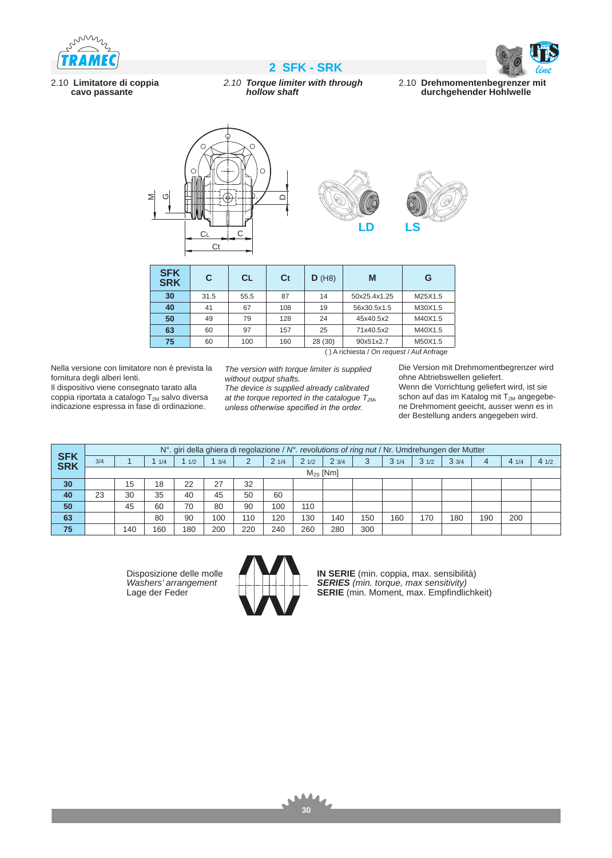





2.10 **Limitatore di coppia cavo passante**

# *2.10 Torque limiter with through hollow shaft*

2.10 **Drehmomentenbegrenzer mit durchgehender Hohlwelle**



| <b>SFK</b><br><b>SRK</b>                     | C        | <b>CL</b> | Ct  | D(H8)   | M            | G       |  |  |  |  |  |
|----------------------------------------------|----------|-----------|-----|---------|--------------|---------|--|--|--|--|--|
| 30                                           | 31.5     | 55.5      | 87  | 14      | 50x25.4x1.25 | M25X1.5 |  |  |  |  |  |
| 40                                           | 67<br>41 |           | 108 | 19      | 56x30.5x1.5  | M30X1.5 |  |  |  |  |  |
| 50                                           | 49       | 79        | 128 | 24      | 45x40.5x2    | M40X1.5 |  |  |  |  |  |
| 63                                           | 60       | 97        | 157 | 25      | 71x40.5x2    | M40X1.5 |  |  |  |  |  |
| 75                                           | 60       | 100       | 160 | 28 (30) | 90x51x2.7    | M50X1.5 |  |  |  |  |  |
| $( ) A$ richiesta / On request / Auf Anfrage |          |           |     |         |              |         |  |  |  |  |  |

( ) A richiesta / *On request* / Auf Anfrage

Nella versione con limitatore non è prevista la fornitura degli alberi lenti.

Il dispositivo viene consegnato tarato alla coppia riportata a catalogo  $T_{2M}$  salvo diversa indicazione espressa in fase di ordinazione.

*The version with torque limiter is supplied without output shafts.* 

*The device is supplied already calibrated*  at the torque reported in the catalogue  $T_{2M}$ , *unless otherwise specified in the order.*

Die Version mit Drehmomentbegrenzer wird ohne Abtriebswellen geliefert. Wenn die Vorrichtung geliefert wird, ist sie schon auf das im Katalog mit  $T_{2M}$  angegebene Drehmoment geeicht, ausser wenn es in der Bestellung anders angegeben wird.

| <b>SFK</b><br>SRK | $N^{\circ}$ . giri della ghiera di regolazione / $N^{\circ}$ . revolutions of ring nut / Nr. Umdrehungen der Mutter |     |     |     |     |     |      |      |      |     |      |      |      |     |      |      |
|-------------------|---------------------------------------------------------------------------------------------------------------------|-----|-----|-----|-----|-----|------|------|------|-----|------|------|------|-----|------|------|
|                   | 3/4                                                                                                                 |     | 1/4 | 1/2 | 3/4 | 2   | 21/4 | 21/2 | 23/4 | 3   | 31/4 | 31/2 | 33/4 | 4   | 41/4 | 41/2 |
|                   | $M_{2S}$ [Nm]                                                                                                       |     |     |     |     |     |      |      |      |     |      |      |      |     |      |      |
| 30                |                                                                                                                     | 15  | 18  | 22  | 27  | 32  |      |      |      |     |      |      |      |     |      |      |
| 40                | 23                                                                                                                  | 30  | 35  | 40  | 45  | 50  | 60   |      |      |     |      |      |      |     |      |      |
| 50                |                                                                                                                     | 45  | 60  | 70  | 80  | 90  | 100  | 110  |      |     |      |      |      |     |      |      |
| 63                |                                                                                                                     |     | 80  | 90  | 100 | 110 | 120  | 130  | 140  | 150 | 160  | 170  | 180  | 190 | 200  |      |
| 75                |                                                                                                                     | 140 | 160 | 180 | 200 | 220 | 240  | 260  | 280  | 300 |      |      |      |     |      |      |

Disposizione delle molle *Washers' arrangement* Lage der Feder



**IN SERIE** (min. coppia, max. sensibilità) *SERIES (min. torque, max sensitivity)* **SERIE** (min. Moment, max. Empfindlichkeit)

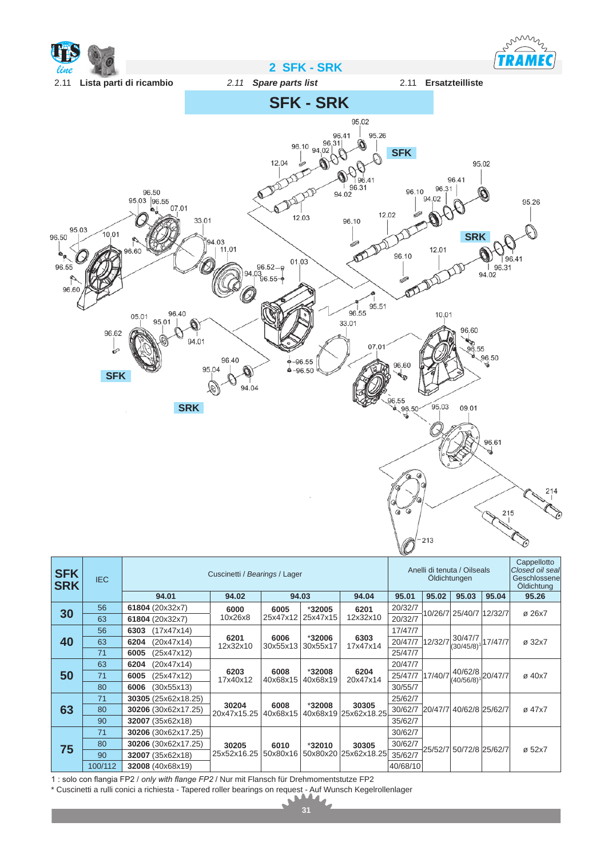

| <b>SFK</b><br><b>SRK</b> | <b>IEC</b> |                     | Cuscinetti / Bearings / Lager | Anelli di tenuta / Oilseals<br>Oldichtungen |                    |                               |          | Cappellotto<br>Closed oil seal<br>Geschlossene<br>Öldichtung |                            |         |        |
|--------------------------|------------|---------------------|-------------------------------|---------------------------------------------|--------------------|-------------------------------|----------|--------------------------------------------------------------|----------------------------|---------|--------|
|                          |            | 94.01               | 94.02                         |                                             | 94.03              | 94.04                         | 95.01    | 95.02                                                        | 95.03                      | 95.04   | 95.26  |
| 30                       | 56         | 61804 (20x32x7)     | 6000                          | 6005                                        | *32005             | 6201                          | 20/32/7  |                                                              | 10/26/7 25/40/7 12/32/7    |         | ø 26x7 |
|                          | 63         | 61804 (20x32x7)     | 10x26x8                       | 25x47x12                                    | 25x47x15           | 12x32x10                      | 20/32/7  |                                                              |                            |         |        |
|                          | 56         | (17x47x14)<br>6303  |                               |                                             | *32006<br>30x55x17 | 6303<br>17x47x14              | 17/47/7  |                                                              |                            | 17/47/7 |        |
| 40                       | 63         | 6204<br>(20x47x14)  | 6201<br>12x32x10              | 6006<br>30x55x13                            |                    |                               | 20/47/7  | 12/32/7                                                      | 30/47/7<br>$(30/45/8)^{1}$ |         | Ø 32x7 |
|                          | 71         | 6005<br>(25x47x12)  |                               |                                             |                    |                               | 25/47/7  |                                                              |                            |         |        |
|                          | 63         | 6204<br>(20x47x14)  |                               | 6008<br>40x68x15                            | *32008<br>40x68x19 | 6204<br>20x47x14              | 20/47/7  | 17/40/7                                                      | 40/62/8<br>$(40/56/8)^{1}$ | 20/47/7 | ø 40x7 |
| 50                       | 71         | 6005<br>(25x47x12)  | 6203<br>17x40x12              |                                             |                    |                               | 25/47/7  |                                                              |                            |         |        |
|                          | 80         | 6006<br>(30x55x13)  |                               |                                             |                    |                               | 30/55/7  |                                                              |                            |         |        |
|                          | 71         | 30305 (25x62x18.25) |                               |                                             |                    | 30305<br>40x68x19 25x62x18.25 | 25/62/7  |                                                              |                            |         | ø 47x7 |
| 63                       | 80         | 30206 (30x62x17.25) | 30204<br>20x47x15.25          | 6008<br>40x68x15                            | *32008             |                               | 30/62/7  |                                                              | 20/47/7 40/62/8 25/62/7    |         |        |
|                          | 90         | 32007 (35x62x18)    |                               |                                             |                    |                               | 35/62/7  |                                                              |                            |         |        |
|                          | 71         | 30206 (30x62x17.25) |                               |                                             |                    |                               | 30/62/7  |                                                              |                            |         | ø 52x7 |
| 75                       | 80         | 30206 (30x62x17.25) | 30205                         | 6010                                        | *32010             | 30305                         | 30/62/7  |                                                              | 25/52/7 50/72/8 25/62/7    |         |        |
|                          | 90         | 32007 (35x62x18)    | 25x52x16.25                   | 50x80x16                                    | 50x80x20           | 25x62x18.25                   | 35/62/7  |                                                              |                            |         |        |
|                          | 100/112    | 32008 (40x68x19)    |                               |                                             |                    |                               | 40/68/10 |                                                              |                            |         |        |

1 : solo con flangia FP2 / *only with flange FP2* / Nur mit Flansch für Drehmomentstutze FP2

\* Cuscinetti a rulli conici a richiesta - Tapered roller bearings on request - Auf Wunsch Kegelrollenlager